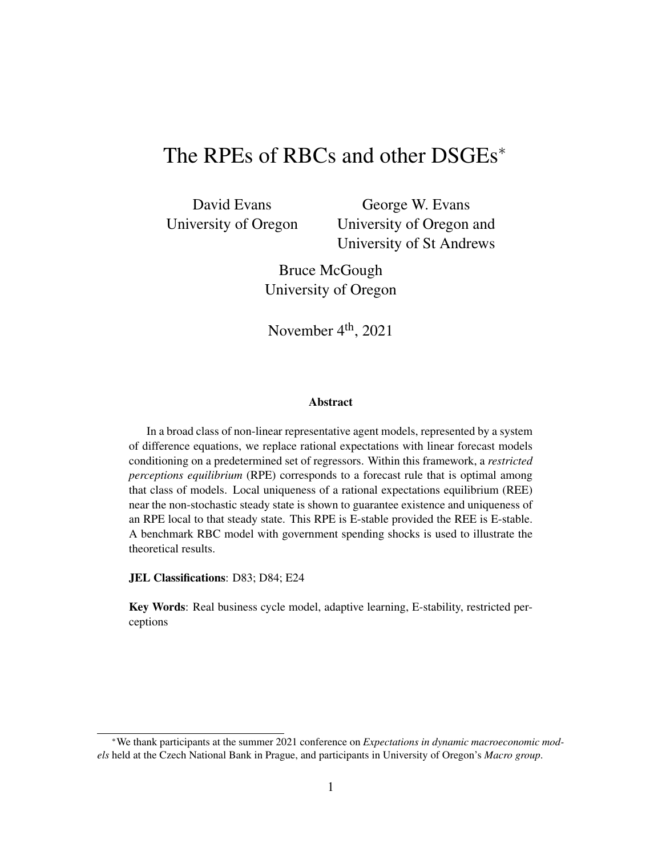# The RPEs of RBCs and other DSGEs<sup>∗</sup>

David Evans University of Oregon

George W. Evans University of Oregon and University of St Andrews

Bruce McGough University of Oregon

November  $4<sup>th</sup>$ , 2021

#### Abstract

In a broad class of non-linear representative agent models, represented by a system of difference equations, we replace rational expectations with linear forecast models conditioning on a predetermined set of regressors. Within this framework, a *restricted perceptions equilibrium* (RPE) corresponds to a forecast rule that is optimal among that class of models. Local uniqueness of a rational expectations equilibrium (REE) near the non-stochastic steady state is shown to guarantee existence and uniqueness of an RPE local to that steady state. This RPE is E-stable provided the REE is E-stable. A benchmark RBC model with government spending shocks is used to illustrate the theoretical results.

JEL Classifications: D83; D84; E24

Key Words: Real business cycle model, adaptive learning, E-stability, restricted perceptions

<sup>∗</sup>We thank participants at the summer 2021 conference on *Expectations in dynamic macroeconomic models* held at the Czech National Bank in Prague, and participants in University of Oregon's *Macro group*.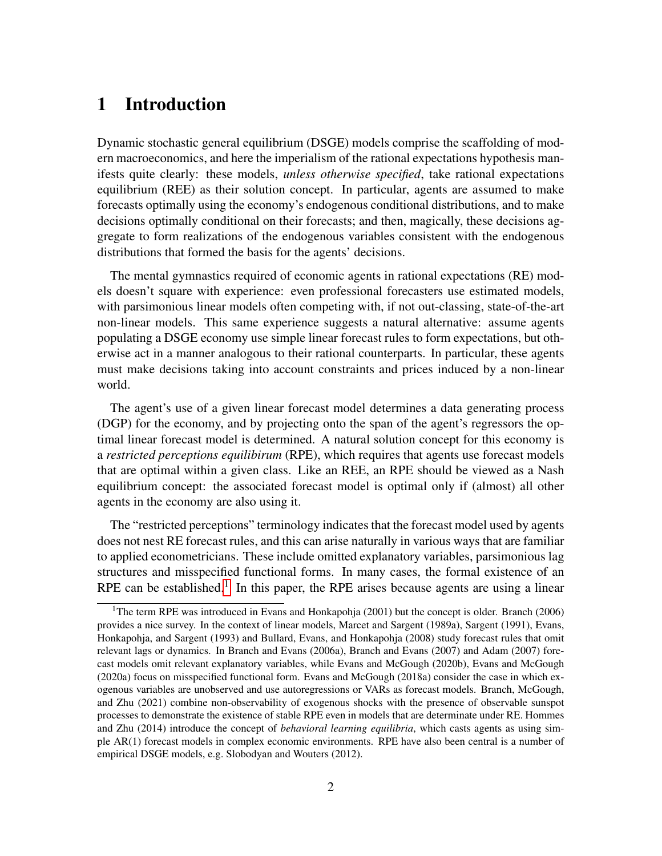# 1 Introduction

Dynamic stochastic general equilibrium (DSGE) models comprise the scaffolding of modern macroeconomics, and here the imperialism of the rational expectations hypothesis manifests quite clearly: these models, *unless otherwise specified*, take rational expectations equilibrium (REE) as their solution concept. In particular, agents are assumed to make forecasts optimally using the economy's endogenous conditional distributions, and to make decisions optimally conditional on their forecasts; and then, magically, these decisions aggregate to form realizations of the endogenous variables consistent with the endogenous distributions that formed the basis for the agents' decisions.

The mental gymnastics required of economic agents in rational expectations (RE) models doesn't square with experience: even professional forecasters use estimated models, with parsimonious linear models often competing with, if not out-classing, state-of-the-art non-linear models. This same experience suggests a natural alternative: assume agents populating a DSGE economy use simple linear forecast rules to form expectations, but otherwise act in a manner analogous to their rational counterparts. In particular, these agents must make decisions taking into account constraints and prices induced by a non-linear world.

The agent's use of a given linear forecast model determines a data generating process (DGP) for the economy, and by projecting onto the span of the agent's regressors the optimal linear forecast model is determined. A natural solution concept for this economy is a *restricted perceptions equilibirum* (RPE), which requires that agents use forecast models that are optimal within a given class. Like an REE, an RPE should be viewed as a Nash equilibrium concept: the associated forecast model is optimal only if (almost) all other agents in the economy are also using it.

The "restricted perceptions" terminology indicates that the forecast model used by agents does not nest RE forecast rules, and this can arise naturally in various ways that are familiar to applied econometricians. These include omitted explanatory variables, parsimonious lag structures and misspecified functional forms. In many cases, the formal existence of an RPE can be established.<sup>[1](#page-1-0)</sup> In this paper, the RPE arises because agents are using a linear

<span id="page-1-0"></span><sup>&</sup>lt;sup>1</sup>The term RPE was introduced in Evans and Honkapohja (2001) but the concept is older. Branch (2006) provides a nice survey. In the context of linear models, Marcet and Sargent (1989a), Sargent (1991), Evans, Honkapohja, and Sargent (1993) and Bullard, Evans, and Honkapohja (2008) study forecast rules that omit relevant lags or dynamics. In Branch and Evans (2006a), Branch and Evans (2007) and Adam (2007) forecast models omit relevant explanatory variables, while Evans and McGough (2020b), Evans and McGough (2020a) focus on misspecified functional form. Evans and McGough (2018a) consider the case in which exogenous variables are unobserved and use autoregressions or VARs as forecast models. Branch, McGough, and Zhu (2021) combine non-observability of exogenous shocks with the presence of observable sunspot processes to demonstrate the existence of stable RPE even in models that are determinate under RE. Hommes and Zhu (2014) introduce the concept of *behavioral learning equilibria*, which casts agents as using simple AR(1) forecast models in complex economic environments. RPE have also been central is a number of empirical DSGE models, e.g. Slobodyan and Wouters (2012).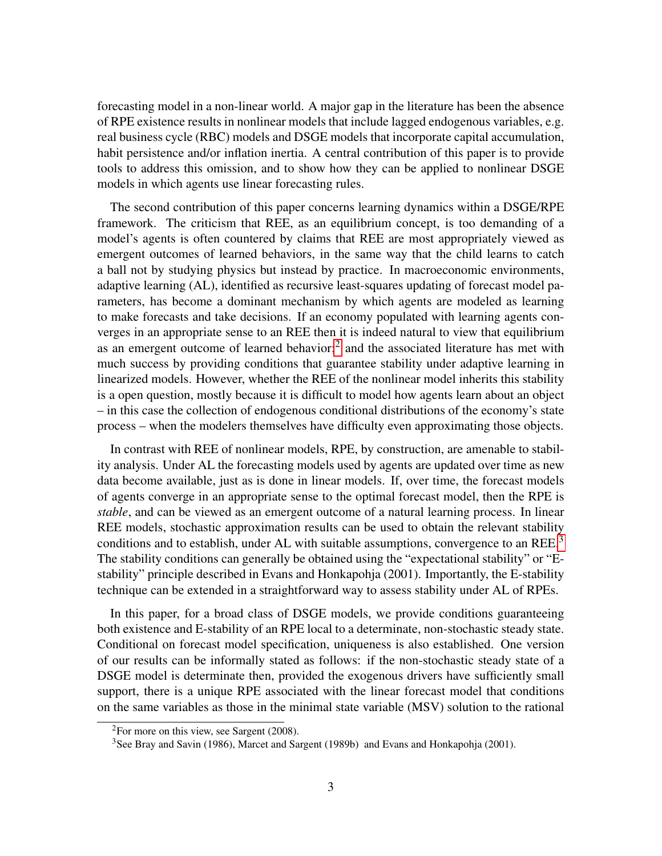forecasting model in a non-linear world. A major gap in the literature has been the absence of RPE existence results in nonlinear models that include lagged endogenous variables, e.g. real business cycle (RBC) models and DSGE models that incorporate capital accumulation, habit persistence and/or inflation inertia. A central contribution of this paper is to provide tools to address this omission, and to show how they can be applied to nonlinear DSGE models in which agents use linear forecasting rules.

The second contribution of this paper concerns learning dynamics within a DSGE/RPE framework. The criticism that REE, as an equilibrium concept, is too demanding of a model's agents is often countered by claims that REE are most appropriately viewed as emergent outcomes of learned behaviors, in the same way that the child learns to catch a ball not by studying physics but instead by practice. In macroeconomic environments, adaptive learning (AL), identified as recursive least-squares updating of forecast model parameters, has become a dominant mechanism by which agents are modeled as learning to make forecasts and take decisions. If an economy populated with learning agents converges in an appropriate sense to an REE then it is indeed natural to view that equilibrium as an emergent outcome of learned behavior;<sup>[2](#page-2-0)</sup> and the associated literature has met with much success by providing conditions that guarantee stability under adaptive learning in linearized models. However, whether the REE of the nonlinear model inherits this stability is a open question, mostly because it is difficult to model how agents learn about an object – in this case the collection of endogenous conditional distributions of the economy's state process – when the modelers themselves have difficulty even approximating those objects.

In contrast with REE of nonlinear models, RPE, by construction, are amenable to stability analysis. Under AL the forecasting models used by agents are updated over time as new data become available, just as is done in linear models. If, over time, the forecast models of agents converge in an appropriate sense to the optimal forecast model, then the RPE is *stable*, and can be viewed as an emergent outcome of a natural learning process. In linear REE models, stochastic approximation results can be used to obtain the relevant stability conditions and to establish, under AL with suitable assumptions, convergence to an REE.<sup>[3](#page-2-1)</sup> The stability conditions can generally be obtained using the "expectational stability" or "Estability" principle described in Evans and Honkapohja (2001). Importantly, the E-stability technique can be extended in a straightforward way to assess stability under AL of RPEs.

In this paper, for a broad class of DSGE models, we provide conditions guaranteeing both existence and E-stability of an RPE local to a determinate, non-stochastic steady state. Conditional on forecast model specification, uniqueness is also established. One version of our results can be informally stated as follows: if the non-stochastic steady state of a DSGE model is determinate then, provided the exogenous drivers have sufficiently small support, there is a unique RPE associated with the linear forecast model that conditions on the same variables as those in the minimal state variable (MSV) solution to the rational

<span id="page-2-0"></span><sup>2</sup>For more on this view, see Sargent (2008).

<span id="page-2-1"></span><sup>&</sup>lt;sup>3</sup>See Bray and Savin (1986), Marcet and Sargent (1989b) and Evans and Honkapohja (2001).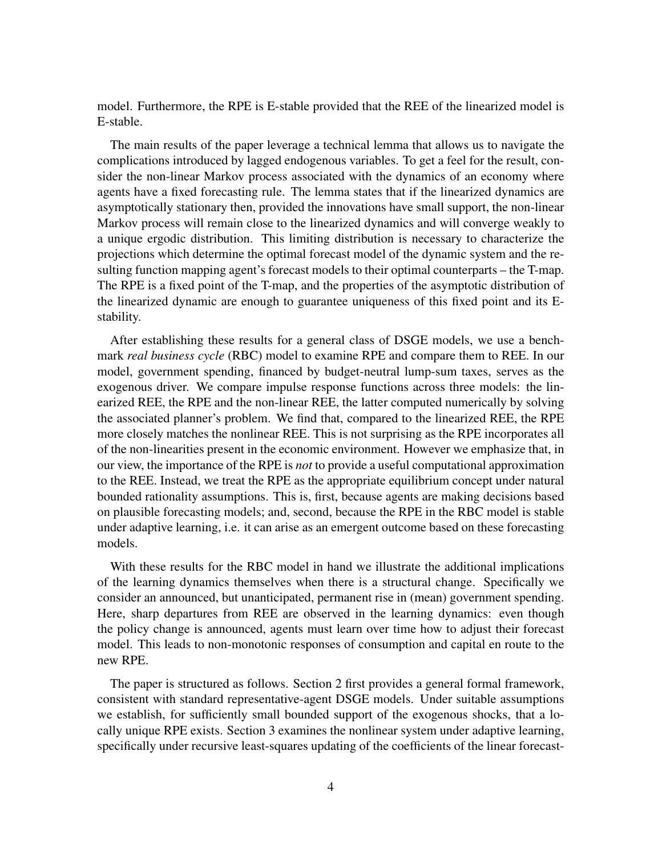model. Furthermore, the RPE is E-stable provided that the REE of the linearized model is E-stable.

The main results of the paper leverage a technical lemma that allows us to navigate the complications introduced by lagged endogenous variables. To get a feel for the result, consider the non-linear Markov process associated with the dynamics of an economy where agents have a fixed forecasting rule. The lemma states that if the linearized dynamics are asymptotically stationary then, provided the innovations have small support, the non-linear Markov process will remain close to the linearized dynamics and will converge weakly to a unique ergodic distribution. This limiting distribution is necessary to characterize the projections which determine the optimal forecast model of the dynamic system and the resulting function mapping agent's forecast models to their optimal counterparts – the T-map. The RPE is a fixed point of the T-map, and the properties of the asymptotic distribution of the linearized dynamic are enough to guarantee uniqueness of this fixed point and its Estability.

After establishing these results for a general class of DSGE models, we use a benchmark *real business cycle* (RBC) model to examine RPE and compare them to REE. In our model, government spending, financed by budget-neutral lump-sum taxes, serves as the exogenous driver. We compare impulse response functions across three models: the linearized REE, the RPE and the non-linear REE, the latter computed numerically by solving the associated planner's problem. We find that, compared to the linearized REE, the RPE more closely matches the nonlinear REE. This is not surprising as the RPE incorporates all of the non-linearities present in the economic environment. However we emphasize that, in our view, the importance of the RPE is *not* to provide a useful computational approximation to the REE. Instead, we treat the RPE as the appropriate equilibrium concept under natural bounded rationality assumptions. This is, first, because agents are making decisions based on plausible forecasting models; and, second, because the RPE in the RBC model is stable under adaptive learning, i.e. it can arise as an emergent outcome based on these forecasting models.

With these results for the RBC model in hand we illustrate the additional implications of the learning dynamics themselves when there is a structural change. Specifically we consider an announced, but unanticipated, permanent rise in (mean) government spending. Here, sharp departures from REE are observed in the learning dynamics: even though the policy change is announced, agents must learn over time how to adjust their forecast model. This leads to non-monotonic responses of consumption and capital en route to the new RPE.

The paper is structured as follows. Section 2 first provides a general formal framework, consistent with standard representative-agent DSGE models. Under suitable assumptions we establish, for sufficiently small bounded support of the exogenous shocks, that a locally unique RPE exists. Section 3 examines the nonlinear system under adaptive learning, specifically under recursive least-squares updating of the coefficients of the linear forecast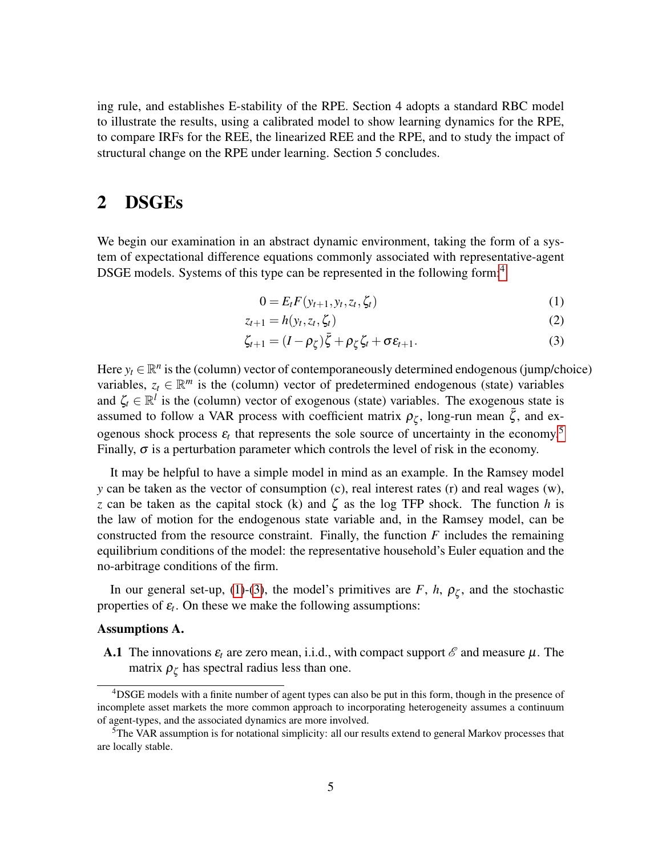ing rule, and establishes E-stability of the RPE. Section 4 adopts a standard RBC model to illustrate the results, using a calibrated model to show learning dynamics for the RPE, to compare IRFs for the REE, the linearized REE and the RPE, and to study the impact of structural change on the RPE under learning. Section 5 concludes.

### 2 DSGEs

We begin our examination in an abstract dynamic environment, taking the form of a system of expectational difference equations commonly associated with representative-agent DSGE models. Systems of this type can be represented in the following form:<sup>[4](#page-4-0)</sup>

<span id="page-4-4"></span><span id="page-4-3"></span><span id="page-4-2"></span>
$$
0 = E_t F(y_{t+1}, y_t, z_t, \zeta_t)
$$
\n<sup>(1)</sup>

$$
z_{t+1} = h(y_t, z_t, \zeta_t) \tag{2}
$$

$$
\zeta_{t+1} = (I - \rho_{\zeta})\bar{\zeta} + \rho_{\zeta}\zeta_t + \sigma \varepsilon_{t+1}.
$$
\n(3)

Here  $y_t \in \mathbb{R}^n$  is the (column) vector of contemporaneously determined endogenous (jump/choice) variables,  $z_t \in \mathbb{R}^m$  is the (column) vector of predetermined endogenous (state) variables and  $\zeta_t \in \mathbb{R}^l$  is the (column) vector of exogenous (state) variables. The exogenous state is assumed to follow a VAR process with coefficient matrix  $\rho_{\zeta}$ , long-run mean  $\bar{\zeta}$ , and exogenous shock process  $\varepsilon_t$  that represents the sole source of uncertainty in the economy.<sup>[5](#page-4-1)</sup> Finally,  $\sigma$  is a perturbation parameter which controls the level of risk in the economy.

It may be helpful to have a simple model in mind as an example. In the Ramsey model *y* can be taken as the vector of consumption (c), real interest rates (r) and real wages (w), *z* can be taken as the capital stock (k) and  $\zeta$  as the log TFP shock. The function *h* is the law of motion for the endogenous state variable and, in the Ramsey model, can be constructed from the resource constraint. Finally, the function *F* includes the remaining equilibrium conditions of the model: the representative household's Euler equation and the no-arbitrage conditions of the firm.

In our general set-up, [\(1\)](#page-4-2)-[\(3\)](#page-4-3), the model's primitives are  $F$ ,  $h$ ,  $\rho_{\zeta}$ , and the stochastic properties of  $\varepsilon_t$ . On these we make the following assumptions:

#### Assumptions A.

**A.1** The innovations  $\varepsilon_t$  are zero mean, i.i.d., with compact support  $\mathscr E$  and measure  $\mu$ . The matrix  $\rho_{\zeta}$  has spectral radius less than one.

<span id="page-4-0"></span><sup>4</sup>DSGE models with a finite number of agent types can also be put in this form, though in the presence of incomplete asset markets the more common approach to incorporating heterogeneity assumes a continuum of agent-types, and the associated dynamics are more involved.

<span id="page-4-1"></span> ${}^{5}$ The VAR assumption is for notational simplicity: all our results extend to general Markov processes that are locally stable.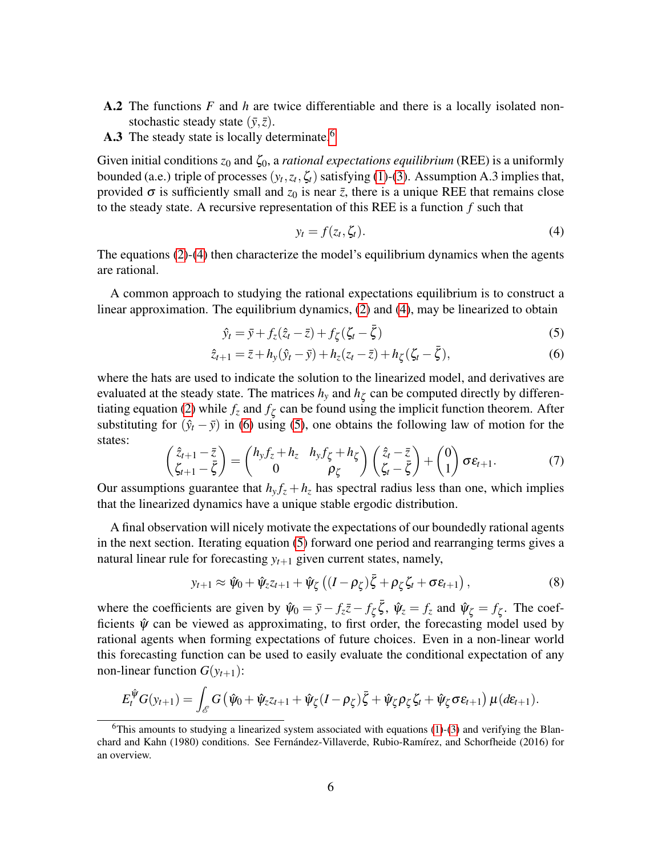- A.2 The functions *F* and *h* are twice differentiable and there is a locally isolated nonstochastic steady state  $(\bar{y}, \bar{z})$ .
- A.3 The steady state is locally determinate.<sup>[6](#page-5-0)</sup>

Given initial conditions *z*<sub>0</sub> and *ζ*<sub>0</sub>, a *rational expectations equilibrium* (REE) is a uniformly bounded (a.e.) triple of processes  $(y_t, z_t, \zeta_t)$  satisfying [\(1\)](#page-4-2)-[\(3\)](#page-4-3). Assumption A.3 implies that, provided  $\sigma$  is sufficiently small and  $z_0$  is near  $\bar{z}$ , there is a unique REE that remains close to the steady state. A recursive representation of this REE is a function *f* such that

<span id="page-5-3"></span><span id="page-5-2"></span><span id="page-5-1"></span>
$$
y_t = f(z_t, \zeta_t). \tag{4}
$$

The equations [\(2\)](#page-4-4)-[\(4\)](#page-5-1) then characterize the model's equilibrium dynamics when the agents are rational.

A common approach to studying the rational expectations equilibrium is to construct a linear approximation. The equilibrium dynamics, [\(2\)](#page-4-4) and [\(4\)](#page-5-1), may be linearized to obtain

$$
\hat{y}_t = \bar{y} + f_z(\hat{z}_t - \bar{z}) + f_{\zeta}(\zeta_t - \bar{\zeta})
$$
\n(5)

$$
\hat{z}_{t+1} = \bar{z} + h_y(\hat{y}_t - \bar{y}) + h_z(z_t - \bar{z}) + h_\zeta(\zeta_t - \bar{\zeta}),
$$
\n(6)

where the hats are used to indicate the solution to the linearized model, and derivatives are evaluated at the steady state. The matrices  $h_y$  and  $h_\zeta$  can be computed directly by differen-tiating equation [\(2\)](#page-4-4) while  $f_z$  and  $f_\zeta$  can be found using the implicit function theorem. After substituting for  $(\hat{y}_t - \bar{y})$  in [\(6\)](#page-5-2) using [\(5\)](#page-5-3), one obtains the following law of motion for the states:

$$
\begin{pmatrix} \hat{z}_{t+1} - \bar{z} \\ \zeta_{t+1} - \bar{\zeta} \end{pmatrix} = \begin{pmatrix} h_y f_z + h_z & h_y f_{\zeta} + h_{\zeta} \\ 0 & \rho_{\zeta} \end{pmatrix} \begin{pmatrix} \hat{z}_t - \bar{z} \\ \zeta_t - \bar{\zeta} \end{pmatrix} + \begin{pmatrix} 0 \\ 1 \end{pmatrix} \sigma \varepsilon_{t+1}.
$$
 (7)

Our assumptions guarantee that  $h_y f_z + h_z$  has spectral radius less than one, which implies that the linearized dynamics have a unique stable ergodic distribution.

A final observation will nicely motivate the expectations of our boundedly rational agents in the next section. Iterating equation [\(5\)](#page-5-3) forward one period and rearranging terms gives a natural linear rule for forecasting  $y_{t+1}$  given current states, namely,

<span id="page-5-4"></span>
$$
y_{t+1} \approx \hat{\psi}_0 + \hat{\psi}_z z_{t+1} + \hat{\psi}_\zeta \left( (I - \rho_\zeta) \bar{\zeta} + \rho_\zeta \zeta_t + \sigma \varepsilon_{t+1} \right), \tag{8}
$$

where the coefficients are given by  $\hat{\psi}_0 = \bar{y} - f_z\bar{z} - f_\zeta\bar{\zeta}$ ,  $\hat{\psi}_z = f_z$  and  $\hat{\psi}_\zeta = f_\zeta$ . The coefficients  $\hat{\psi}$  can be viewed as approximating, to first order, the forecasting model used by rational agents when forming expectations of future choices. Even in a non-linear world this forecasting function can be used to easily evaluate the conditional expectation of any non-linear function  $G(y_{t+1})$ :

$$
E_t^{\hat{\psi}}G(y_{t+1}) = \int_{\mathscr{E}} G(\hat{\psi}_0 + \hat{\psi}_z z_{t+1} + \hat{\psi}_\zeta (I - \rho_\zeta) \bar{\zeta} + \hat{\psi}_\zeta \rho_\zeta \zeta_t + \hat{\psi}_\zeta \sigma \varepsilon_{t+1}) \mu(d\varepsilon_{t+1}).
$$

<span id="page-5-0"></span> $6$ This amounts to studying a linearized system associated with equations [\(1\)](#page-4-2)-[\(3\)](#page-4-3) and verifying the Blanchard and Kahn (1980) conditions. See Fernández-Villaverde, Rubio-Ramírez, and Schorfheide (2016) for an overview.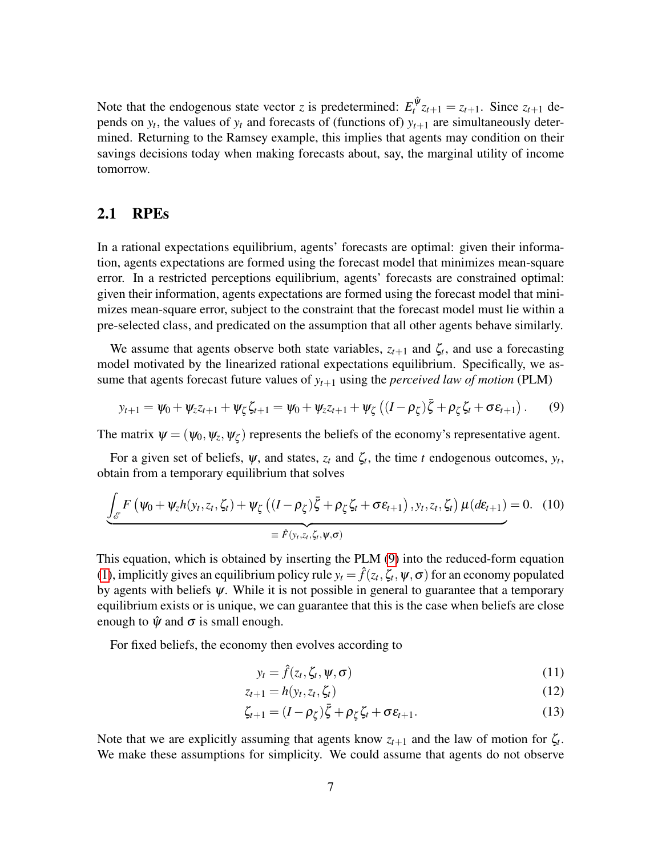Note that the endogenous state vector *z* is predetermined:  $E_t^{\hat{\psi}} z_{t+1} = z_{t+1}$ . Since  $z_{t+1}$  depends on  $y_t$ , the values of  $y_t$  and forecasts of (functions of)  $y_{t+1}$  are simultaneously determined. Returning to the Ramsey example, this implies that agents may condition on their savings decisions today when making forecasts about, say, the marginal utility of income tomorrow.

### <span id="page-6-4"></span>2.1 RPEs

In a rational expectations equilibrium, agents' forecasts are optimal: given their information, agents expectations are formed using the forecast model that minimizes mean-square error. In a restricted perceptions equilibrium, agents' forecasts are constrained optimal: given their information, agents expectations are formed using the forecast model that minimizes mean-square error, subject to the constraint that the forecast model must lie within a pre-selected class, and predicated on the assumption that all other agents behave similarly.

We assume that agents observe both state variables,  $z_{t+1}$  and  $\zeta_t$ , and use a forecasting model motivated by the linearized rational expectations equilibrium. Specifically, we assume that agents forecast future values of  $y_{t+1}$  using the *perceived law of motion* (PLM)

$$
y_{t+1} = \psi_0 + \psi_z z_{t+1} + \psi_\zeta \zeta_{t+1} = \psi_0 + \psi_z z_{t+1} + \psi_\zeta \left( (I - \rho_\zeta) \bar{\zeta} + \rho_\zeta \zeta_t + \sigma \varepsilon_{t+1} \right). \tag{9}
$$

The matrix  $\psi = (\psi_0, \psi_z, \psi_\zeta)$  represents the beliefs of the economy's representative agent.

For a given set of beliefs,  $\psi$ , and states,  $z_t$  and  $\zeta_t$ , the time *t* endogenous outcomes,  $y_t$ , obtain from a temporary equilibrium that solves

$$
\underbrace{\int_{\mathscr{E}} F(\psi_0 + \psi_z h(y_t, z_t, \zeta_t) + \psi_{\zeta} ((I - \rho_{\zeta}) \bar{\zeta} + \rho_{\zeta} \zeta_t + \sigma \varepsilon_{t+1}), y_t, z_t, \zeta_t) \mu(d\varepsilon_{t+1})}_{\equiv \hat{F}(y_t, z_t, \zeta_t, \psi, \sigma)}
$$
(10)

This equation, which is obtained by inserting the PLM [\(9\)](#page-6-0) into the reduced-form equation [\(1\)](#page-4-2), implicitly gives an equilibrium policy rule  $y_t = \hat{f}(z_t, \zeta_t, \psi, \sigma)$  for an economy populated by agents with beliefs  $\psi$ . While it is not possible in general to guarantee that a temporary equilibrium exists or is unique, we can guarantee that this is the case when beliefs are close enough to  $\hat{\psi}$  and  $\sigma$  is small enough.

For fixed beliefs, the economy then evolves according to

<span id="page-6-5"></span><span id="page-6-3"></span><span id="page-6-2"></span><span id="page-6-1"></span><span id="page-6-0"></span>
$$
y_t = \hat{f}(z_t, \zeta_t, \psi, \sigma) \tag{11}
$$

$$
z_{t+1} = h(y_t, z_t, \zeta_t) \tag{12}
$$

$$
\zeta_{t+1} = (I - \rho_{\zeta})\bar{\zeta} + \rho_{\zeta}\zeta_t + \sigma \varepsilon_{t+1}.
$$
\n(13)

Note that we are explicitly assuming that agents know  $z_{t+1}$  and the law of motion for  $\zeta_t$ . We make these assumptions for simplicity. We could assume that agents do not observe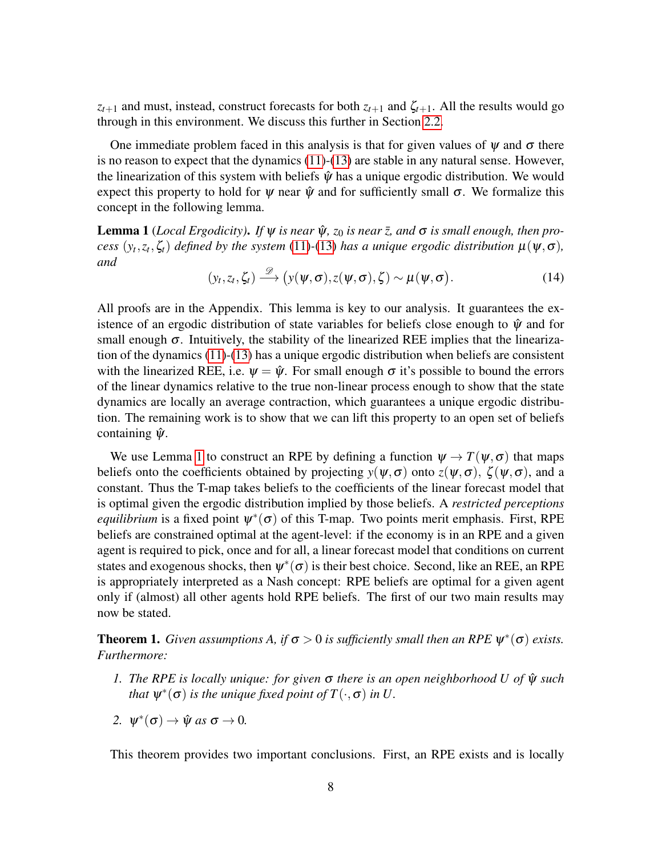$z_{t+1}$  and must, instead, construct forecasts for both  $z_{t+1}$  and  $\zeta_{t+1}$ . All the results would go through in this environment. We discuss this further in Section [2.2.](#page-8-0)

One immediate problem faced in this analysis is that for given values of  $\psi$  and  $\sigma$  there is no reason to expect that the dynamics [\(11\)](#page-6-1)-[\(13\)](#page-6-2) are stable in any natural sense. However, the linearization of this system with beliefs  $\hat{\psi}$  has a unique ergodic distribution. We would expect this property to hold for  $\psi$  near  $\hat{\psi}$  and for sufficiently small  $\sigma$ . We formalize this concept in the following lemma.

<span id="page-7-0"></span>**Lemma 1** (*Local Ergodicity*). *If*  $\psi$  *is near*  $\hat{\psi}$ ,  $z_0$  *is near*  $\bar{z}$ , *and*  $\sigma$  *is small enough, then process*  $(y_t, z_t, \zeta_t)$  *defined by the system* [\(11\)](#page-6-1)-[\(13\)](#page-6-2) *has a unique ergodic distribution*  $\mu(\psi, \sigma)$ *, and*

$$
(y_t, z_t, \zeta_t) \stackrel{\mathscr{D}}{\longrightarrow} (y(\psi, \sigma), z(\psi, \sigma), \zeta) \sim \mu(\psi, \sigma).
$$
 (14)

All proofs are in the Appendix. This lemma is key to our analysis. It guarantees the existence of an ergodic distribution of state variables for beliefs close enough to  $\hat{\psi}$  and for small enough  $\sigma$ . Intuitively, the stability of the linearized REE implies that the linearization of the dynamics [\(11\)](#page-6-1)-[\(13\)](#page-6-2) has a unique ergodic distribution when beliefs are consistent with the linearized REE, i.e.  $\psi = \hat{\psi}$ . For small enough  $\sigma$  it's possible to bound the errors of the linear dynamics relative to the true non-linear process enough to show that the state dynamics are locally an average contraction, which guarantees a unique ergodic distribution. The remaining work is to show that we can lift this property to an open set of beliefs containing  $\hat{\psi}$ .

We use Lemma [1](#page-7-0) to construct an RPE by defining a function  $\psi \to T(\psi, \sigma)$  that maps beliefs onto the coefficients obtained by projecting  $y(\psi, \sigma)$  onto  $z(\psi, \sigma)$ ,  $\zeta(\psi, \sigma)$ , and a constant. Thus the T-map takes beliefs to the coefficients of the linear forecast model that is optimal given the ergodic distribution implied by those beliefs. A *restricted perceptions equilibrium* is a fixed point  $\psi^*(\sigma)$  of this T-map. Two points merit emphasis. First, RPE beliefs are constrained optimal at the agent-level: if the economy is in an RPE and a given agent is required to pick, once and for all, a linear forecast model that conditions on current states and exogenous shocks, then  $\psi^*(\sigma)$  is their best choice. Second, like an REE, an RPE is appropriately interpreted as a Nash concept: RPE beliefs are optimal for a given agent only if (almost) all other agents hold RPE beliefs. The first of our two main results may now be stated.

<span id="page-7-1"></span>**Theorem 1.** *Given assumptions A, if*  $\sigma > 0$  *is sufficiently small then an RPE*  $\psi^*(\sigma)$  *exists. Furthermore:*

- *1. The RPE is locally unique: for given* σ *there is an open neighborhood U of* ψˆ *such that*  $\psi^*(\sigma)$  *is the unique fixed point of*  $T(\cdot, \sigma)$  *in U.*
- 2.  $\psi^*(\sigma) \to \hat{\psi}$  *as*  $\sigma \to 0$ *.*

This theorem provides two important conclusions. First, an RPE exists and is locally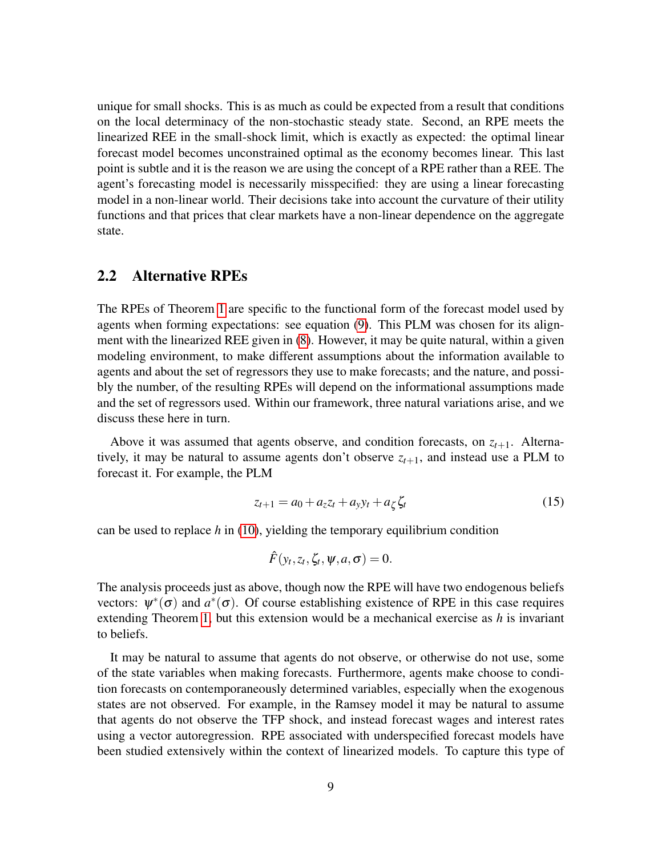unique for small shocks. This is as much as could be expected from a result that conditions on the local determinacy of the non-stochastic steady state. Second, an RPE meets the linearized REE in the small-shock limit, which is exactly as expected: the optimal linear forecast model becomes unconstrained optimal as the economy becomes linear. This last point is subtle and it is the reason we are using the concept of a RPE rather than a REE. The agent's forecasting model is necessarily misspecified: they are using a linear forecasting model in a non-linear world. Their decisions take into account the curvature of their utility functions and that prices that clear markets have a non-linear dependence on the aggregate state.

### <span id="page-8-0"></span>2.2 Alternative RPEs

The RPEs of Theorem [1](#page-7-1) are specific to the functional form of the forecast model used by agents when forming expectations: see equation [\(9\)](#page-6-0). This PLM was chosen for its alignment with the linearized REE given in [\(8\)](#page-5-4). However, it may be quite natural, within a given modeling environment, to make different assumptions about the information available to agents and about the set of regressors they use to make forecasts; and the nature, and possibly the number, of the resulting RPEs will depend on the informational assumptions made and the set of regressors used. Within our framework, three natural variations arise, and we discuss these here in turn.

Above it was assumed that agents observe, and condition forecasts, on  $z_{t+1}$ . Alternatively, it may be natural to assume agents don't observe  $z_{t+1}$ , and instead use a PLM to forecast it. For example, the PLM

<span id="page-8-1"></span>
$$
z_{t+1} = a_0 + a_z z_t + a_y y_t + a_\zeta \zeta_t \tag{15}
$$

can be used to replace *h* in [\(10\)](#page-6-3), yielding the temporary equilibrium condition

$$
\hat{F}(y_t, z_t, \zeta_t, \psi, a, \sigma) = 0.
$$

The analysis proceeds just as above, though now the RPE will have two endogenous beliefs vectors:  $\psi^*(\sigma)$  and  $a^*(\sigma)$ . Of course establishing existence of RPE in this case requires extending Theorem [1,](#page-7-1) but this extension would be a mechanical exercise as *h* is invariant to beliefs.

It may be natural to assume that agents do not observe, or otherwise do not use, some of the state variables when making forecasts. Furthermore, agents make choose to condition forecasts on contemporaneously determined variables, especially when the exogenous states are not observed. For example, in the Ramsey model it may be natural to assume that agents do not observe the TFP shock, and instead forecast wages and interest rates using a vector autoregression. RPE associated with underspecified forecast models have been studied extensively within the context of linearized models. To capture this type of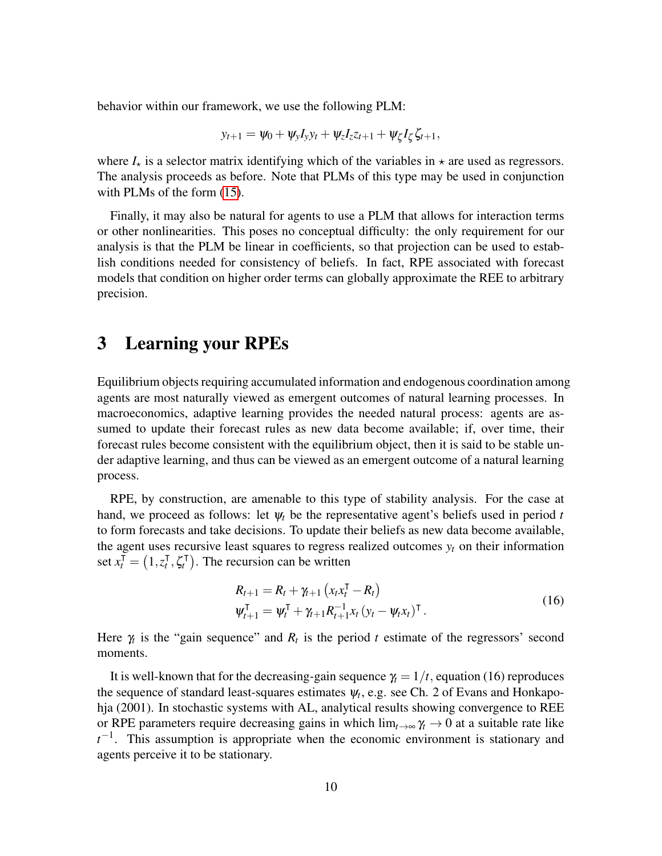behavior within our framework, we use the following PLM:

$$
y_{t+1} = \psi_0 + \psi_y I_y y_t + \psi_z I_z z_{t+1} + \psi_\zeta I_\zeta \zeta_{t+1},
$$

where  $I_{\star}$  is a selector matrix identifying which of the variables in  $\star$  are used as regressors. The analysis proceeds as before. Note that PLMs of this type may be used in conjunction with PLMs of the form [\(15\)](#page-8-1).

Finally, it may also be natural for agents to use a PLM that allows for interaction terms or other nonlinearities. This poses no conceptual difficulty: the only requirement for our analysis is that the PLM be linear in coefficients, so that projection can be used to establish conditions needed for consistency of beliefs. In fact, RPE associated with forecast models that condition on higher order terms can globally approximate the REE to arbitrary precision.

### <span id="page-9-1"></span>3 Learning your RPEs

Equilibrium objects requiring accumulated information and endogenous coordination among agents are most naturally viewed as emergent outcomes of natural learning processes. In macroeconomics, adaptive learning provides the needed natural process: agents are assumed to update their forecast rules as new data become available; if, over time, their forecast rules become consistent with the equilibrium object, then it is said to be stable under adaptive learning, and thus can be viewed as an emergent outcome of a natural learning process.

RPE, by construction, are amenable to this type of stability analysis. For the case at hand, we proceed as follows: let  $\psi_t$  be the representative agent's beliefs used in period t to form forecasts and take decisions. To update their beliefs as new data become available, the agent uses recursive least squares to regress realized outcomes  $y_t$  on their information  $\text{set } x_t^{\text{T}} = (1, z_t^{\text{T}})$ *t* ,ζ |  $t_t^{\mathsf{T}}$ ). The recursion can be written

<span id="page-9-0"></span>
$$
R_{t+1} = R_t + \gamma_{t+1} (x_t x_t^{\mathsf{T}} - R_t)
$$
  

$$
\psi_{t+1}^{\mathsf{T}} = \psi_t^{\mathsf{T}} + \gamma_{t+1} R_{t+1}^{-1} x_t (y_t - \psi_t x_t)^{\mathsf{T}}.
$$
 (16)

Here  $\gamma_t$  is the "gain sequence" and  $R_t$  is the period t estimate of the regressors' second moments.

It is well-known that for the decreasing-gain sequence  $\gamma_t = 1/t$ , equation (16) reproduces the sequence of standard least-squares estimates  $\psi_t$ , e.g. see Ch. 2 of Evans and Honkapohja (2001). In stochastic systems with AL, analytical results showing convergence to REE or RPE parameters require decreasing gains in which  $\lim_{t\to\infty} \gamma_t \to 0$  at a suitable rate like *t*<sup>−1</sup>. This assumption is appropriate when the economic environment is stationary and agents perceive it to be stationary.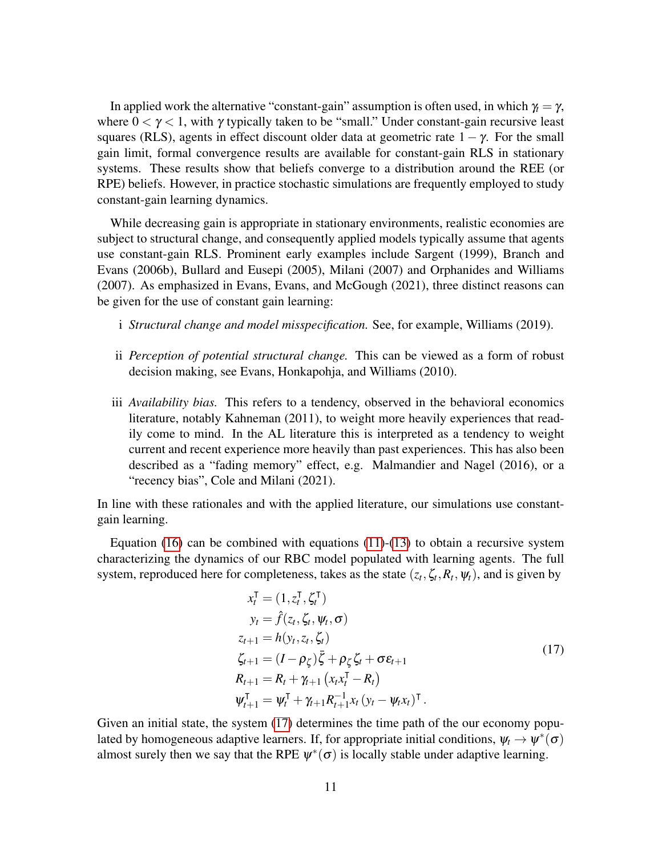In applied work the alternative "constant-gain" assumption is often used, in which  $\gamma_t = \gamma$ , where  $0 < \gamma < 1$ , with  $\gamma$  typically taken to be "small." Under constant-gain recursive least squares (RLS), agents in effect discount older data at geometric rate  $1 - \gamma$ . For the small gain limit, formal convergence results are available for constant-gain RLS in stationary systems. These results show that beliefs converge to a distribution around the REE (or RPE) beliefs. However, in practice stochastic simulations are frequently employed to study constant-gain learning dynamics.

While decreasing gain is appropriate in stationary environments, realistic economies are subject to structural change, and consequently applied models typically assume that agents use constant-gain RLS. Prominent early examples include Sargent (1999), Branch and Evans (2006b), Bullard and Eusepi (2005), Milani (2007) and Orphanides and Williams (2007). As emphasized in Evans, Evans, and McGough (2021), three distinct reasons can be given for the use of constant gain learning:

- i *Structural change and model misspecification.* See, for example, Williams (2019).
- ii *Perception of potential structural change.* This can be viewed as a form of robust decision making, see Evans, Honkapohja, and Williams (2010).
- iii *Availability bias.* This refers to a tendency, observed in the behavioral economics literature, notably Kahneman (2011), to weight more heavily experiences that readily come to mind. In the AL literature this is interpreted as a tendency to weight current and recent experience more heavily than past experiences. This has also been described as a "fading memory" effect, e.g. Malmandier and Nagel (2016), or a "recency bias", Cole and Milani (2021).

In line with these rationales and with the applied literature, our simulations use constantgain learning.

Equation  $(16)$  can be combined with equations  $(11)-(13)$  $(11)-(13)$  $(11)-(13)$  to obtain a recursive system characterizing the dynamics of our RBC model populated with learning agents. The full system, reproduced here for completeness, takes as the state  $(z_t, \zeta_t, R_t, \psi_t)$ , and is given by

<span id="page-10-0"></span>
$$
x_t^{\mathsf{T}} = (1, z_t^{\mathsf{T}}, \zeta_t^{\mathsf{T}})
$$
  
\n
$$
y_t = \hat{f}(z_t, \zeta_t, \psi_t, \sigma)
$$
  
\n
$$
z_{t+1} = h(y_t, z_t, \zeta_t)
$$
  
\n
$$
\zeta_{t+1} = (I - \rho_{\zeta})\bar{\zeta} + \rho_{\zeta}\zeta_t + \sigma \varepsilon_{t+1}
$$
  
\n
$$
R_{t+1} = R_t + \gamma_{t+1} (x_t x_t^{\mathsf{T}} - R_t)
$$
  
\n
$$
\psi_{t+1}^{\mathsf{T}} = \psi_t^{\mathsf{T}} + \gamma_{t+1} R_{t+1}^{-1} x_t (y_t - \psi_t x_t)^{\mathsf{T}}.
$$
\n(17)

Given an initial state, the system [\(17\)](#page-10-0) determines the time path of the our economy populated by homogeneous adaptive learners. If, for appropriate initial conditions,  $\psi_t \to \psi^*(\sigma)$ almost surely then we say that the RPE  $\psi^*(\sigma)$  is locally stable under adaptive learning.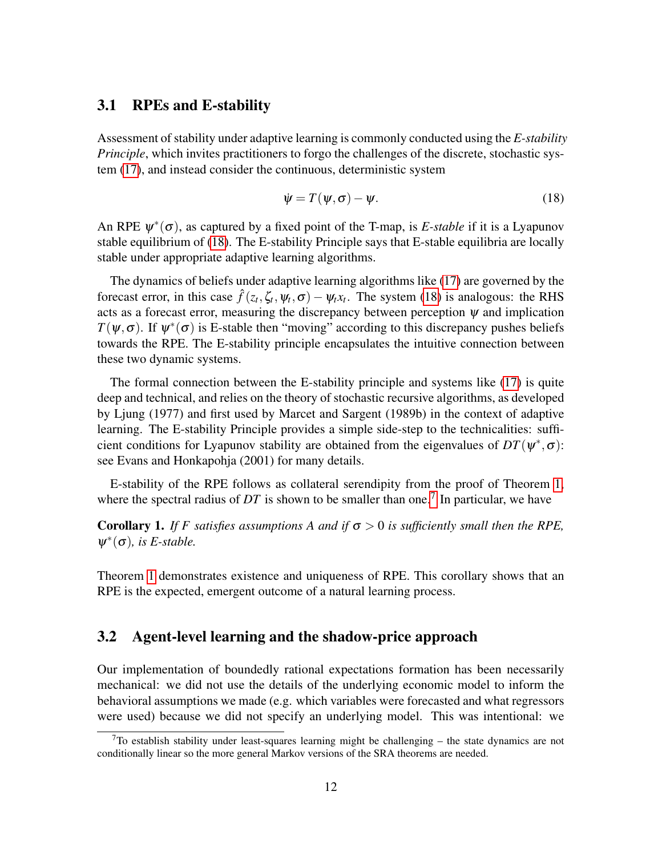#### 3.1 RPEs and E-stability

Assessment of stability under adaptive learning is commonly conducted using the *E-stability Principle*, which invites practitioners to forgo the challenges of the discrete, stochastic system [\(17\)](#page-10-0), and instead consider the continuous, deterministic system

<span id="page-11-0"></span>
$$
\dot{\psi} = T(\psi, \sigma) - \psi. \tag{18}
$$

An RPE  $\psi^*(\sigma)$ , as captured by a fixed point of the T-map, is *E-stable* if it is a Lyapunov stable equilibrium of [\(18\)](#page-11-0). The E-stability Principle says that E-stable equilibria are locally stable under appropriate adaptive learning algorithms.

The dynamics of beliefs under adaptive learning algorithms like [\(17\)](#page-10-0) are governed by the forecast error, in this case  $\hat{f}(z_t, \zeta_t, \psi_t, \sigma) - \psi_t x_t$ . The system [\(18\)](#page-11-0) is analogous: the RHS acts as a forecast error, measuring the discrepancy between perception  $\psi$  and implication  $T(\psi, \sigma)$ . If  $\psi^*(\sigma)$  is E-stable then "moving" according to this discrepancy pushes beliefs towards the RPE. The E-stability principle encapsulates the intuitive connection between these two dynamic systems.

The formal connection between the E-stability principle and systems like [\(17\)](#page-10-0) is quite deep and technical, and relies on the theory of stochastic recursive algorithms, as developed by Ljung (1977) and first used by Marcet and Sargent (1989b) in the context of adaptive learning. The E-stability Principle provides a simple side-step to the technicalities: sufficient conditions for Lyapunov stability are obtained from the eigenvalues of  $DT(\psi^*, \sigma)$ : see Evans and Honkapohja (2001) for many details.

E-stability of the RPE follows as collateral serendipity from the proof of Theorem [1,](#page-7-1) where the spectral radius of  $DT$  is shown to be smaller than one.<sup>[7](#page-11-1)</sup> In particular, we have

Corollary 1. *If F satisfies assumptions A and if*  $\sigma > 0$  *is sufficiently small then the RPE,*  $\psi^*(\sigma)$ , is *E*-stable.

Theorem [1](#page-7-1) demonstrates existence and uniqueness of RPE. This corollary shows that an RPE is the expected, emergent outcome of a natural learning process.

#### 3.2 Agent-level learning and the shadow-price approach

Our implementation of boundedly rational expectations formation has been necessarily mechanical: we did not use the details of the underlying economic model to inform the behavioral assumptions we made (e.g. which variables were forecasted and what regressors were used) because we did not specify an underlying model. This was intentional: we

<span id="page-11-1"></span> $7$ To establish stability under least-squares learning might be challenging – the state dynamics are not conditionally linear so the more general Markov versions of the SRA theorems are needed.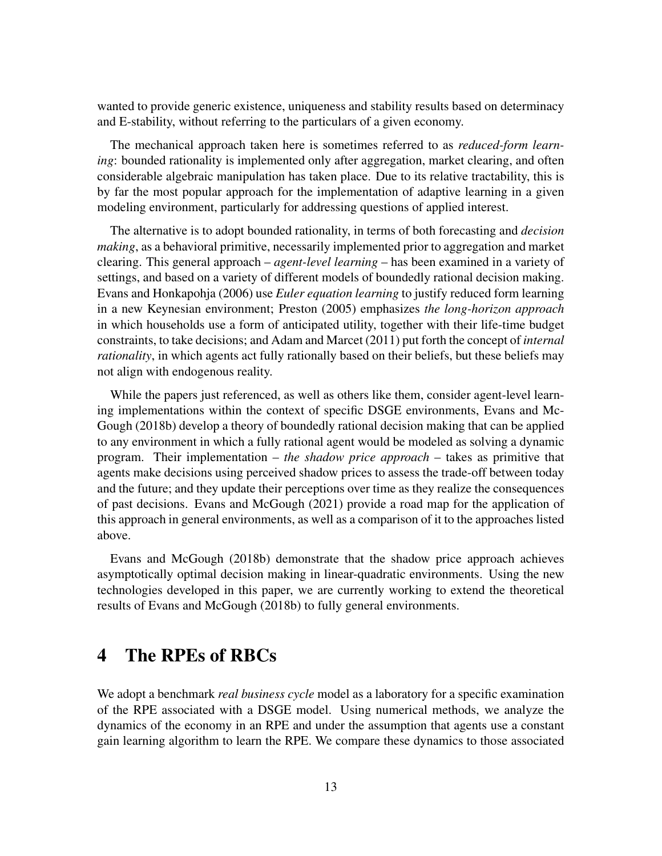wanted to provide generic existence, uniqueness and stability results based on determinacy and E-stability, without referring to the particulars of a given economy.

The mechanical approach taken here is sometimes referred to as *reduced-form learning*: bounded rationality is implemented only after aggregation, market clearing, and often considerable algebraic manipulation has taken place. Due to its relative tractability, this is by far the most popular approach for the implementation of adaptive learning in a given modeling environment, particularly for addressing questions of applied interest.

The alternative is to adopt bounded rationality, in terms of both forecasting and *decision making*, as a behavioral primitive, necessarily implemented prior to aggregation and market clearing. This general approach – *agent-level learning* – has been examined in a variety of settings, and based on a variety of different models of boundedly rational decision making. Evans and Honkapohja (2006) use *Euler equation learning* to justify reduced form learning in a new Keynesian environment; Preston (2005) emphasizes *the long-horizon approach* in which households use a form of anticipated utility, together with their life-time budget constraints, to take decisions; and Adam and Marcet (2011) put forth the concept of *internal rationality*, in which agents act fully rationally based on their beliefs, but these beliefs may not align with endogenous reality.

While the papers just referenced, as well as others like them, consider agent-level learning implementations within the context of specific DSGE environments, Evans and Mc-Gough (2018b) develop a theory of boundedly rational decision making that can be applied to any environment in which a fully rational agent would be modeled as solving a dynamic program. Their implementation – *the shadow price approach* – takes as primitive that agents make decisions using perceived shadow prices to assess the trade-off between today and the future; and they update their perceptions over time as they realize the consequences of past decisions. Evans and McGough (2021) provide a road map for the application of this approach in general environments, as well as a comparison of it to the approaches listed above.

Evans and McGough (2018b) demonstrate that the shadow price approach achieves asymptotically optimal decision making in linear-quadratic environments. Using the new technologies developed in this paper, we are currently working to extend the theoretical results of Evans and McGough (2018b) to fully general environments.

### 4 The RPEs of RBCs

We adopt a benchmark *real business cycle* model as a laboratory for a specific examination of the RPE associated with a DSGE model. Using numerical methods, we analyze the dynamics of the economy in an RPE and under the assumption that agents use a constant gain learning algorithm to learn the RPE. We compare these dynamics to those associated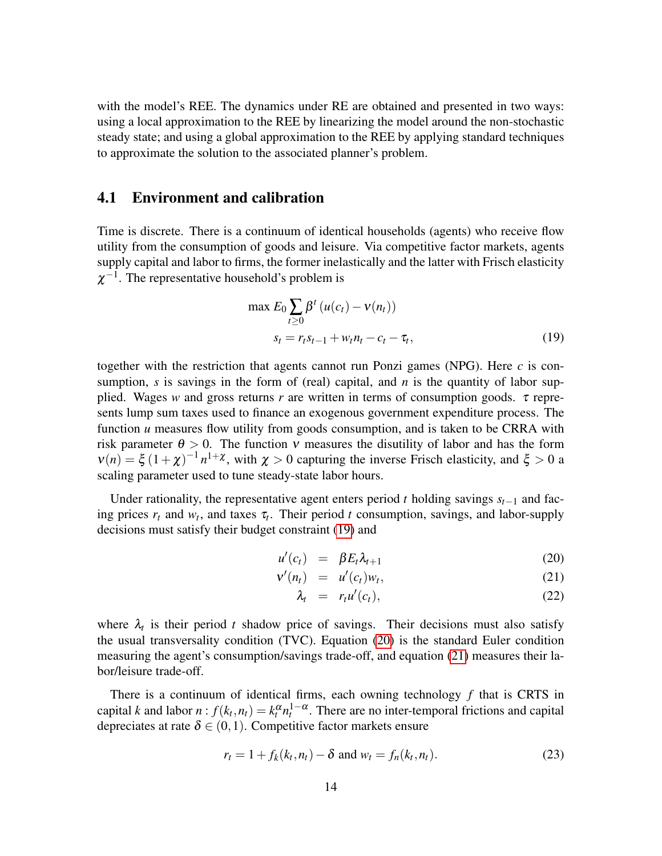with the model's REE. The dynamics under RE are obtained and presented in two ways: using a local approximation to the REE by linearizing the model around the non-stochastic steady state; and using a global approximation to the REE by applying standard techniques to approximate the solution to the associated planner's problem.

### 4.1 Environment and calibration

Time is discrete. There is a continuum of identical households (agents) who receive flow utility from the consumption of goods and leisure. Via competitive factor markets, agents supply capital and labor to firms, the former inelastically and the latter with Frisch elasticity  $\chi^{-1}$ . The representative household's problem is

<span id="page-13-0"></span>
$$
\max E_0 \sum_{t \ge 0} \beta^t \left( u(c_t) - v(n_t) \right) s_t = r_t s_{t-1} + w_t n_t - c_t - \tau_t,
$$
\n(19)

together with the restriction that agents cannot run Ponzi games (NPG). Here  $c$  is consumption,  $s$  is savings in the form of (real) capital, and  $n$  is the quantity of labor supplied. Wages *w* and gross returns *r* are written in terms of consumption goods.  $\tau$  represents lump sum taxes used to finance an exogenous government expenditure process. The function *u* measures flow utility from goods consumption, and is taken to be CRRA with risk parameter  $\theta > 0$ . The function v measures the disutility of labor and has the form  $v(n) = \xi (1 + \chi)^{-1} n^{1+\chi}$ , with  $\chi > 0$  capturing the inverse Frisch elasticity, and  $\xi > 0$  a scaling parameter used to tune steady-state labor hours.

Under rationality, the representative agent enters period *t* holding savings  $s_{t-1}$  and facing prices  $r_t$  and  $w_t$ , and taxes  $\tau_t$ . Their period *t* consumption, savings, and labor-supply decisions must satisfy their budget constraint [\(19\)](#page-13-0) and

<span id="page-13-1"></span>
$$
u'(c_t) = \beta E_t \lambda_{t+1} \tag{20}
$$

$$
\mathbf{v}'(n_t) = u'(c_t)w_t, \qquad (21)
$$

$$
\lambda_t = r_t u'(c_t), \qquad (22)
$$

where  $\lambda_t$  is their period *t* shadow price of savings. Their decisions must also satisfy the usual transversality condition (TVC). Equation [\(20\)](#page-13-1) is the standard Euler condition measuring the agent's consumption/savings trade-off, and equation [\(21\)](#page-13-1) measures their labor/leisure trade-off.

There is a continuum of identical firms, each owning technology *f* that is CRTS in capital *k* and labor  $n: f(k_t, n_t) = k_t^{\alpha} n_t^{1-\alpha}$ . There are no inter-temporal frictions and capital depreciates at rate  $\delta \in (0,1)$ . Competitive factor markets ensure

$$
r_t = 1 + f_k(k_t, n_t) - \delta \text{ and } w_t = f_n(k_t, n_t). \tag{23}
$$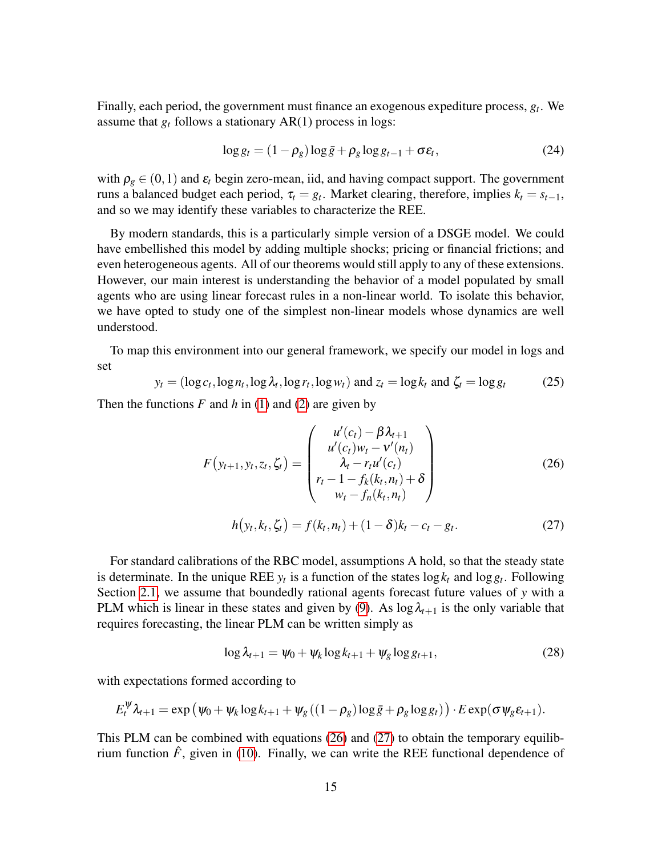Finally, each period, the government must finance an exogenous expediture process, *g<sup>t</sup>* . We assume that  $g_t$  follows a stationary  $AR(1)$  process in logs:

$$
\log g_t = (1 - \rho_g) \log \bar{g} + \rho_g \log g_{t-1} + \sigma \varepsilon_t, \tag{24}
$$

with  $\rho_g \in (0,1)$  and  $\varepsilon_t$  begin zero-mean, iid, and having compact support. The government runs a balanced budget each period,  $\tau_t = g_t$ . Market clearing, therefore, implies  $k_t = s_{t-1}$ , and so we may identify these variables to characterize the REE.

By modern standards, this is a particularly simple version of a DSGE model. We could have embellished this model by adding multiple shocks; pricing or financial frictions; and even heterogeneous agents. All of our theorems would still apply to any of these extensions. However, our main interest is understanding the behavior of a model populated by small agents who are using linear forecast rules in a non-linear world. To isolate this behavior, we have opted to study one of the simplest non-linear models whose dynamics are well understood.

To map this environment into our general framework, we specify our model in logs and set

$$
y_t = (\log c_t, \log n_t, \log \lambda_t, \log r_t, \log w_t) \text{ and } z_t = \log k_t \text{ and } \zeta_t = \log g_t \tag{25}
$$

Then the functions  $F$  and  $h$  in [\(1\)](#page-4-2) and [\(2\)](#page-4-4) are given by

$$
F(y_{t+1}, y_t, z_t, \zeta_t) = \begin{pmatrix} u'(c_t) - \beta \lambda_{t+1} \\ u'(c_t) w_t - v'(n_t) \\ \lambda_t - r_t u'(c_t) \\ r_t - 1 - f_k(k_t, n_t) + \delta \\ w_t - f_n(k_t, n_t) \end{pmatrix}
$$
(26)

<span id="page-14-1"></span><span id="page-14-0"></span>
$$
h(y_t, k_t, \zeta_t) = f(k_t, n_t) + (1 - \delta)k_t - c_t - g_t.
$$
 (27)

For standard calibrations of the RBC model, assumptions A hold, so that the steady state is determinate. In the unique REE  $y_t$  is a function of the states  $\log k_t$  and  $\log g_t$ . Following Section [2.1,](#page-6-4) we assume that boundedly rational agents forecast future values of *y* with a PLM which is linear in these states and given by [\(9\)](#page-6-0). As  $\log \lambda_{t+1}$  is the only variable that requires forecasting, the linear PLM can be written simply as

<span id="page-14-2"></span>
$$
\log \lambda_{t+1} = \psi_0 + \psi_k \log k_{t+1} + \psi_g \log g_{t+1},\tag{28}
$$

with expectations formed according to

$$
E_t^{\psi}\lambda_{t+1} = \exp(\psi_0 + \psi_k \log k_{t+1} + \psi_g((1-\rho_g)\log \bar{g} + \rho_g \log g_t)) \cdot E \exp(\sigma \psi_g \varepsilon_{t+1}).
$$

This PLM can be combined with equations [\(26\)](#page-14-0) and [\(27\)](#page-14-1) to obtain the temporary equilibrium function  $\hat{F}$ , given in [\(10\)](#page-6-3). Finally, we can write the REE functional dependence of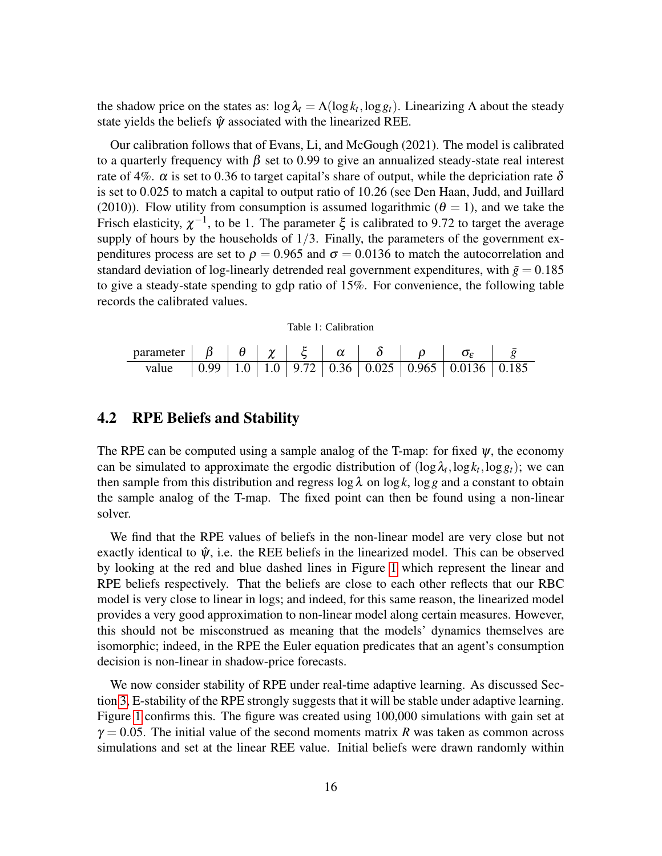the shadow price on the states as:  $\log \lambda_t = \Lambda(\log k_t, \log g_t)$ . Linearizing  $\Lambda$  about the steady state yields the beliefs  $\hat{\psi}$  associated with the linearized REE.

Our calibration follows that of Evans, Li, and McGough (2021). The model is calibrated to a quarterly frequency with  $\beta$  set to 0.99 to give an annualized steady-state real interest rate of 4%.  $\alpha$  is set to 0.36 to target capital's share of output, while the depriciation rate  $\delta$ is set to 0.025 to match a capital to output ratio of 10.26 (see Den Haan, Judd, and Juillard (2010)). Flow utility from consumption is assumed logarithmic ( $\theta = 1$ ), and we take the Frisch elasticity,  $\chi^{-1}$ , to be 1. The parameter  $\xi$  is calibrated to 9.72 to target the average supply of hours by the households of  $1/3$ . Finally, the parameters of the government expenditures process are set to  $\rho = 0.965$  and  $\sigma = 0.0136$  to match the autocorrelation and standard deviation of log-linearly detrended real government expenditures, with  $\bar{g} = 0.185$ to give a steady-state spending to gdp ratio of 15%. For convenience, the following table records the calibrated values.

Table 1: Calibration

| parameter $\begin{array}{ c c c c c c } \hline \beta & \theta & \chi & \xi & \alpha \ \hline \end{array}$ |  |  |  |                                                                                                         |  |
|-----------------------------------------------------------------------------------------------------------|--|--|--|---------------------------------------------------------------------------------------------------------|--|
| value                                                                                                     |  |  |  | $\vert 0.99 \vert 1.0 \vert 1.0 \vert 9.72 \vert 0.36 \vert 0.025 \vert 0.965 \vert 0.0136 \vert 0.185$ |  |

### 4.2 RPE Beliefs and Stability

The RPE can be computed using a sample analog of the T-map: for fixed  $\psi$ , the economy can be simulated to approximate the ergodic distribution of  $(\log \lambda_t, \log k_t, \log g_t)$ ; we can then sample from this distribution and regress  $\log \lambda$  on  $\log k$ ,  $\log g$  and a constant to obtain the sample analog of the T-map. The fixed point can then be found using a non-linear solver.

We find that the RPE values of beliefs in the non-linear model are very close but not exactly identical to  $\hat{\psi}$ , i.e. the REE beliefs in the linearized model. This can be observed by looking at the red and blue dashed lines in Figure [1](#page-16-0) which represent the linear and RPE beliefs respectively. That the beliefs are close to each other reflects that our RBC model is very close to linear in logs; and indeed, for this same reason, the linearized model provides a very good approximation to non-linear model along certain measures. However, this should not be misconstrued as meaning that the models' dynamics themselves are isomorphic; indeed, in the RPE the Euler equation predicates that an agent's consumption decision is non-linear in shadow-price forecasts.

We now consider stability of RPE under real-time adaptive learning. As discussed Section [3,](#page-9-1) E-stability of the RPE strongly suggests that it will be stable under adaptive learning. Figure [1](#page-16-0) confirms this. The figure was created using 100,000 simulations with gain set at  $\gamma = 0.05$ . The initial value of the second moments matrix *R* was taken as common across simulations and set at the linear REE value. Initial beliefs were drawn randomly within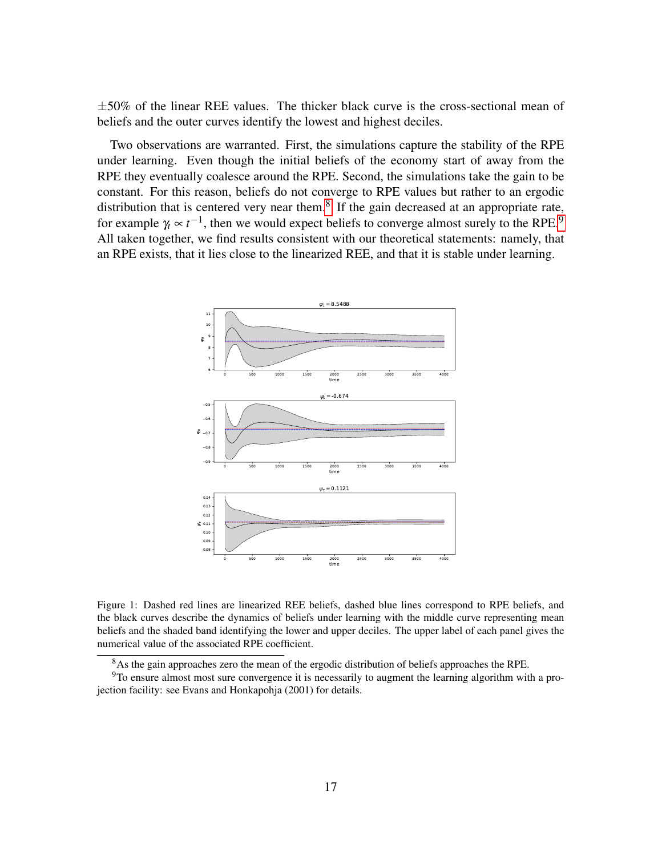$\pm 50\%$  of the linear REE values. The thicker black curve is the cross-sectional mean of beliefs and the outer curves identify the lowest and highest deciles.

Two observations are warranted. First, the simulations capture the stability of the RPE under learning. Even though the initial beliefs of the economy start of away from the RPE they eventually coalesce around the RPE. Second, the simulations take the gain to be constant. For this reason, beliefs do not converge to RPE values but rather to an ergodic distribution that is centered very near them. $8$  If the gain decreased at an appropriate rate, for example  $\gamma_t \propto t^{-1}$ , then we would expect beliefs to converge almost surely to the RPE.<sup>[9](#page-16-2)</sup> All taken together, we find results consistent with our theoretical statements: namely, that an RPE exists, that it lies close to the linearized REE, and that it is stable under learning.

<span id="page-16-0"></span>

Figure 1: Dashed red lines are linearized REE beliefs, dashed blue lines correspond to RPE beliefs, and the black curves describe the dynamics of beliefs under learning with the middle curve representing mean beliefs and the shaded band identifying the lower and upper deciles. The upper label of each panel gives the numerical value of the associated RPE coefficient.

<span id="page-16-2"></span><span id="page-16-1"></span><sup>&</sup>lt;sup>8</sup>As the gain approaches zero the mean of the ergodic distribution of beliefs approaches the RPE.

<sup>&</sup>lt;sup>9</sup>To ensure almost most sure convergence it is necessarily to augment the learning algorithm with a projection facility: see Evans and Honkapohja (2001) for details.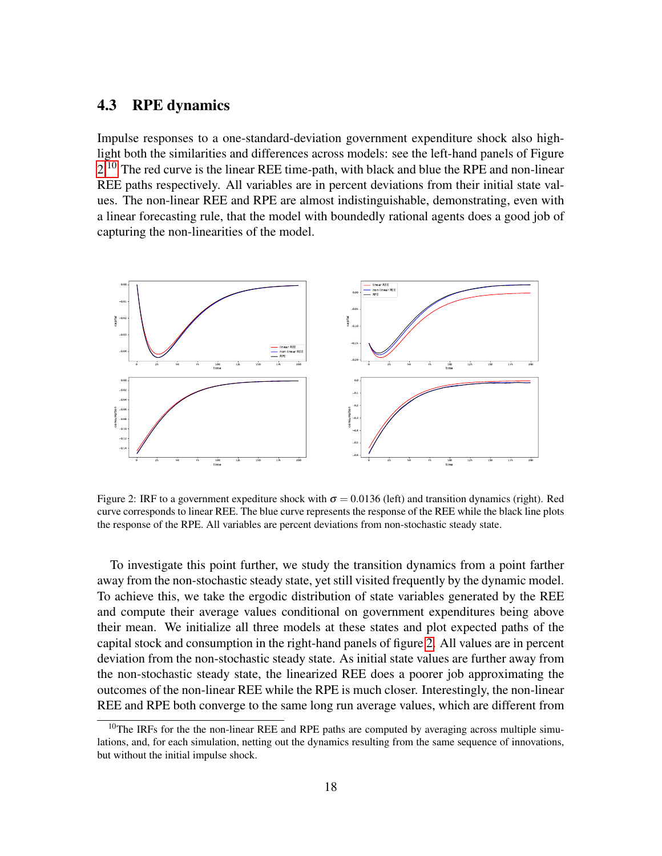### <span id="page-17-2"></span>4.3 RPE dynamics

Impulse responses to a one-standard-deviation government expenditure shock also highlight both the similarities and differences across models: see the left-hand panels of Figure [2.](#page-17-0)<sup>[10](#page-17-1)</sup> The red curve is the linear REE time-path, with black and blue the RPE and non-linear REE paths respectively. All variables are in percent deviations from their initial state values. The non-linear REE and RPE are almost indistinguishable, demonstrating, even with a linear forecasting rule, that the model with boundedly rational agents does a good job of capturing the non-linearities of the model.

<span id="page-17-0"></span>

Figure 2: IRF to a government expediture shock with  $\sigma = 0.0136$  (left) and transition dynamics (right). Red curve corresponds to linear REE. The blue curve represents the response of the REE while the black line plots the response of the RPE. All variables are percent deviations from non-stochastic steady state.

To investigate this point further, we study the transition dynamics from a point farther away from the non-stochastic steady state, yet still visited frequently by the dynamic model. To achieve this, we take the ergodic distribution of state variables generated by the REE and compute their average values conditional on government expenditures being above their mean. We initialize all three models at these states and plot expected paths of the capital stock and consumption in the right-hand panels of figure [2.](#page-17-0) All values are in percent deviation from the non-stochastic steady state. As initial state values are further away from the non-stochastic steady state, the linearized REE does a poorer job approximating the outcomes of the non-linear REE while the RPE is much closer. Interestingly, the non-linear REE and RPE both converge to the same long run average values, which are different from

<span id="page-17-1"></span><sup>&</sup>lt;sup>10</sup>The IRFs for the the non-linear REE and RPE paths are computed by averaging across multiple simulations, and, for each simulation, netting out the dynamics resulting from the same sequence of innovations, but without the initial impulse shock.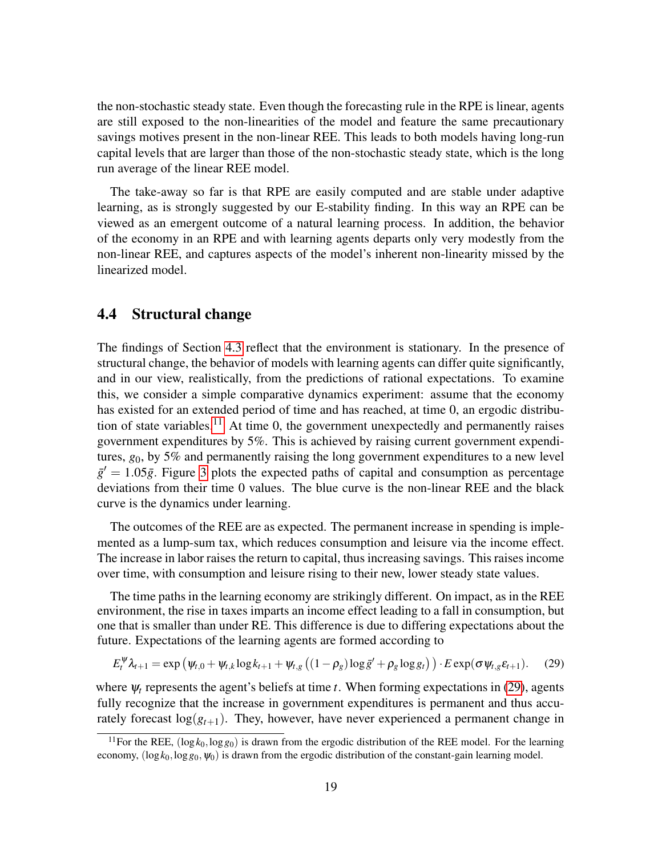the non-stochastic steady state. Even though the forecasting rule in the RPE is linear, agents are still exposed to the non-linearities of the model and feature the same precautionary savings motives present in the non-linear REE. This leads to both models having long-run capital levels that are larger than those of the non-stochastic steady state, which is the long run average of the linear REE model.

The take-away so far is that RPE are easily computed and are stable under adaptive learning, as is strongly suggested by our E-stability finding. In this way an RPE can be viewed as an emergent outcome of a natural learning process. In addition, the behavior of the economy in an RPE and with learning agents departs only very modestly from the non-linear REE, and captures aspects of the model's inherent non-linearity missed by the linearized model.

#### 4.4 Structural change

The findings of Section [4.3](#page-17-2) reflect that the environment is stationary. In the presence of structural change, the behavior of models with learning agents can differ quite significantly, and in our view, realistically, from the predictions of rational expectations. To examine this, we consider a simple comparative dynamics experiment: assume that the economy has existed for an extended period of time and has reached, at time 0, an ergodic distribu-tion of state variables.<sup>[11](#page-18-0)</sup> At time 0, the government unexpectedly and permanently raises government expenditures by 5%. This is achieved by raising current government expenditures, *g*0, by 5% and permanently raising the long government expenditures to a new level  $\bar{g}' = 1.05\bar{g}$ . Figure [3](#page-19-0) plots the expected paths of capital and consumption as percentage deviations from their time 0 values. The blue curve is the non-linear REE and the black curve is the dynamics under learning.

The outcomes of the REE are as expected. The permanent increase in spending is implemented as a lump-sum tax, which reduces consumption and leisure via the income effect. The increase in labor raises the return to capital, thus increasing savings. This raises income over time, with consumption and leisure rising to their new, lower steady state values.

The time paths in the learning economy are strikingly different. On impact, as in the REE environment, the rise in taxes imparts an income effect leading to a fall in consumption, but one that is smaller than under RE. This difference is due to differing expectations about the future. Expectations of the learning agents are formed according to

$$
E_t^{\Psi} \lambda_{t+1} = \exp \left( \psi_{t,0} + \psi_{t,k} \log k_{t+1} + \psi_{t,g} \left( (1 - \rho_g) \log \bar{g}' + \rho_g \log g_t \right) \right) \cdot E \exp(\sigma \psi_{t,g} \varepsilon_{t+1}). \tag{29}
$$

where  $\psi_t$  represents the agent's beliefs at time *t*. When forming expectations in [\(29\)](#page-14-2), agents fully recognize that the increase in government expenditures is permanent and thus accurately forecast  $log(g_{t+1})$ . They, however, have never experienced a permanent change in

<span id="page-18-0"></span><sup>&</sup>lt;sup>11</sup>For the REE,  $(\log k_0, \log g_0)$  is drawn from the ergodic distribution of the REE model. For the learning economy,  $(\log k_0, \log g_0, \psi_0)$  is drawn from the ergodic distribution of the constant-gain learning model.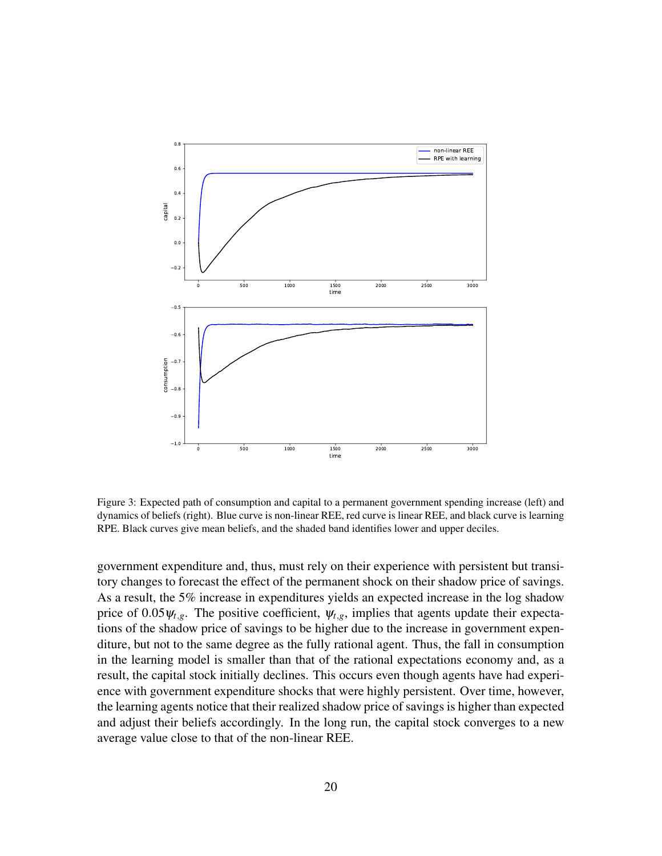<span id="page-19-0"></span>

Figure 3: Expected path of consumption and capital to a permanent government spending increase (left) and dynamics of beliefs (right). Blue curve is non-linear REE, red curve is linear REE, and black curve is learning RPE. Black curves give mean beliefs, and the shaded band identifies lower and upper deciles.

government expenditure and, thus, must rely on their experience with persistent but transitory changes to forecast the effect of the permanent shock on their shadow price of savings. As a result, the 5% increase in expenditures yields an expected increase in the log shadow price of  $0.05\psi_{t,g}$ . The positive coefficient,  $\psi_{t,g}$ , implies that agents update their expectations of the shadow price of savings to be higher due to the increase in government expenditure, but not to the same degree as the fully rational agent. Thus, the fall in consumption in the learning model is smaller than that of the rational expectations economy and, as a result, the capital stock initially declines. This occurs even though agents have had experience with government expenditure shocks that were highly persistent. Over time, however, the learning agents notice that their realized shadow price of savings is higher than expected and adjust their beliefs accordingly. In the long run, the capital stock converges to a new average value close to that of the non-linear REE.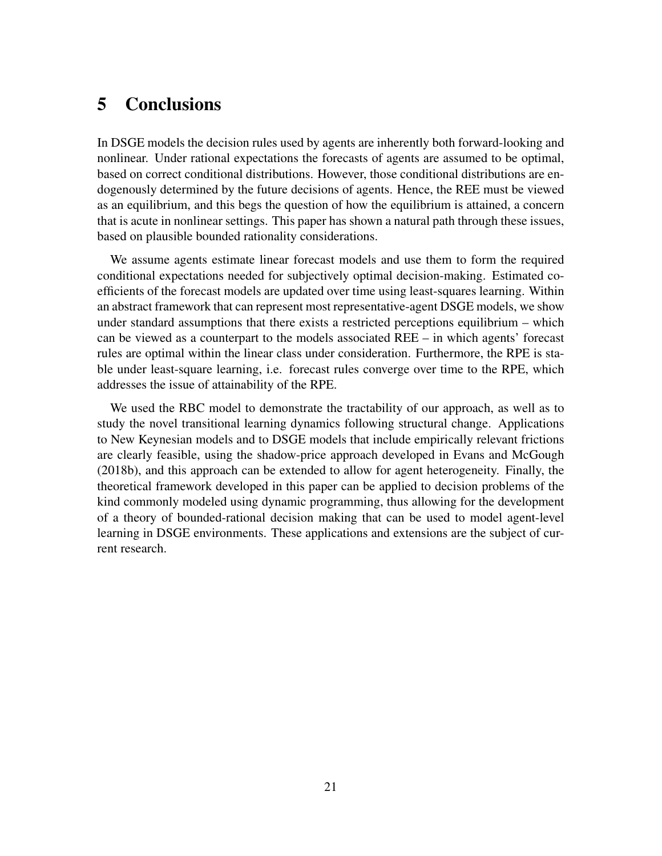# 5 Conclusions

In DSGE models the decision rules used by agents are inherently both forward-looking and nonlinear. Under rational expectations the forecasts of agents are assumed to be optimal, based on correct conditional distributions. However, those conditional distributions are endogenously determined by the future decisions of agents. Hence, the REE must be viewed as an equilibrium, and this begs the question of how the equilibrium is attained, a concern that is acute in nonlinear settings. This paper has shown a natural path through these issues, based on plausible bounded rationality considerations.

We assume agents estimate linear forecast models and use them to form the required conditional expectations needed for subjectively optimal decision-making. Estimated coefficients of the forecast models are updated over time using least-squares learning. Within an abstract framework that can represent most representative-agent DSGE models, we show under standard assumptions that there exists a restricted perceptions equilibrium – which can be viewed as a counterpart to the models associated REE – in which agents' forecast rules are optimal within the linear class under consideration. Furthermore, the RPE is stable under least-square learning, i.e. forecast rules converge over time to the RPE, which addresses the issue of attainability of the RPE.

We used the RBC model to demonstrate the tractability of our approach, as well as to study the novel transitional learning dynamics following structural change. Applications to New Keynesian models and to DSGE models that include empirically relevant frictions are clearly feasible, using the shadow-price approach developed in Evans and McGough (2018b), and this approach can be extended to allow for agent heterogeneity. Finally, the theoretical framework developed in this paper can be applied to decision problems of the kind commonly modeled using dynamic programming, thus allowing for the development of a theory of bounded-rational decision making that can be used to model agent-level learning in DSGE environments. These applications and extensions are the subject of current research.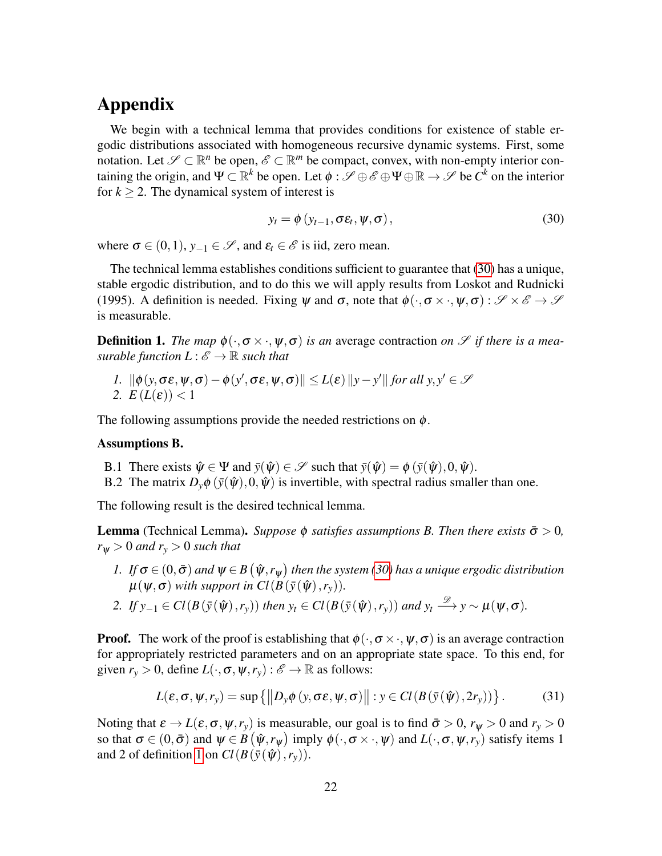# Appendix

We begin with a technical lemma that provides conditions for existence of stable ergodic distributions associated with homogeneous recursive dynamic systems. First, some notation. Let  $\mathscr{S} \subset \mathbb{R}^n$  be open,  $\mathscr{E} \subset \mathbb{R}^m$  be compact, convex, with non-empty interior containing the origin, and  $\Psi \subset \mathbb{R}^k$  be open. Let  $\phi : \mathscr{S} \oplus \mathscr{E} \oplus \Psi \oplus \mathbb{R} \to \mathscr{S}$  be  $C^k$  on the interior for  $k \geq 2$ . The dynamical system of interest is

<span id="page-21-0"></span>
$$
y_t = \phi\left(y_{t-1}, \sigma \varepsilon_t, \psi, \sigma\right),\tag{30}
$$

where  $\sigma \in (0,1)$ ,  $y_{-1} \in \mathscr{S}$ , and  $\varepsilon_t \in \mathscr{E}$  is iid, zero mean.

The technical lemma establishes conditions sufficient to guarantee that [\(30\)](#page-21-0) has a unique, stable ergodic distribution, and to do this we will apply results from Loskot and Rudnicki (1995). A definition is needed. Fixing  $\psi$  and  $\sigma$ , note that  $\phi(\cdot, \sigma \times \cdot, \psi, \sigma) : \mathscr{S} \times \mathscr{E} \to \mathscr{S}$ is measurable.

<span id="page-21-1"></span>**Definition 1.** *The map*  $\phi(\cdot, \sigma \times \cdot, \psi, \sigma)$  *is an* average contraction *on*  $\mathscr{S}$  *if there is a measurable function*  $L: \mathscr{E} \to \mathbb{R}$  *such that* 

*1.*  $\|\phi(y, \sigma \varepsilon, \psi, \sigma) - \phi(y', \sigma \varepsilon, \psi, \sigma)\| \le L(\varepsilon) \|y - y'\|$  for all  $y, y' \in \mathcal{S}$ 2.  $E(L(\varepsilon)) < 1$ 

The following assumptions provide the needed restrictions on  $\phi$ .

#### Assumptions B.

- B.1 There exists  $\hat{\psi} \in \Psi$  and  $\bar{y}(\hat{\psi}) \in \mathscr{S}$  such that  $\bar{y}(\hat{\psi}) = \phi(\bar{y}(\hat{\psi}), 0, \hat{\psi})$ .
- B.2 The matrix  $D_{\nu}\phi(\bar{v}(\hat{\psi}),0,\hat{\psi})$  is invertible, with spectral radius smaller than one.

The following result is the desired technical lemma.

**Lemma** (Technical Lemma). *Suppose*  $\phi$  *satisfies assumptions B. Then there exists*  $\bar{\sigma} > 0$ *,*  $r_{\Psi} > 0$  *and*  $r_{\nu} > 0$  *such that* 

- $I.$  *If*  $\sigma \in (0,\bar{\sigma})$  and  $\psi \in B\left(\hat{\psi},r_{\psi}\right)$  then the system [\(30\)](#page-21-0) has a unique ergodic distribution  $\mu(\psi, \sigma)$  *with support in Cl*( $B(\bar{y}(\hat{\psi}), r_{y})$ ).
- 2. *If*  $y_{-1} \in Cl(B(\bar{y}(\hat{\psi}), r_y))$  *then*  $y_t \in Cl(B(\bar{y}(\hat{\psi}), r_y))$  *and*  $y_t \stackrel{\mathscr{D}}{\longrightarrow} y \sim \mu(\psi, \sigma)$ *.*

**Proof.** The work of the proof is establishing that  $\phi(\cdot, \sigma \times \cdot, \psi, \sigma)$  is an average contraction for appropriately restricted parameters and on an appropriate state space. To this end, for given  $r_y > 0$ , define  $L(\cdot, \sigma, \psi, r_y) : \mathscr{E} \to \mathbb{R}$  as follows:

$$
L(\varepsilon, \sigma, \psi, r_{y}) = \sup \{ ||D_{y} \phi (y, \sigma \varepsilon, \psi, \sigma)|| : y \in Cl(B(\bar{y}(\hat{\psi}), 2r_{y})) \}.
$$
 (31)

Noting that  $\varepsilon \to L(\varepsilon, \sigma, \psi, r_y)$  is measurable, our goal is to find  $\bar{\sigma} > 0$ ,  $r_{\psi} > 0$  and  $r_y > 0$ so that  $\sigma \in (0, \bar{\sigma})$  and  $\psi \in B(\hat{\psi}, r_{\psi})$  imply  $\phi(\cdot, \sigma \times \cdot, \psi)$  and  $L(\cdot, \sigma, \psi, r_{y})$  satisfy items 1 and 2 of definition [1](#page-21-1) on  $Cl(B(\bar{y}(\hat{\psi}), r_y))$ .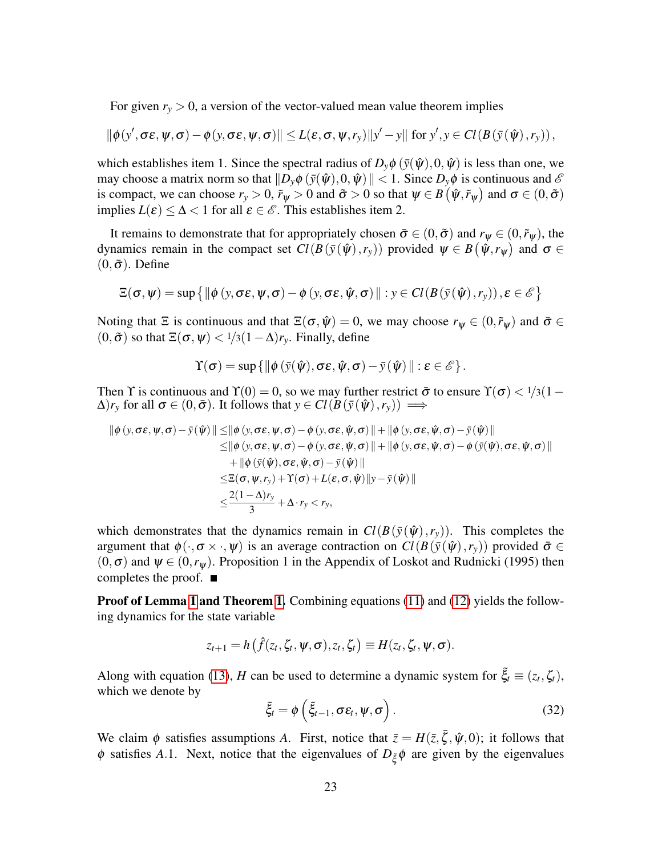<span id="page-22-0"></span>For given  $r_y > 0$ , a version of the vector-valued mean value theorem implies

$$
\|\phi(y',\sigma\epsilon,\psi,\sigma)-\phi(y,\sigma\epsilon,\psi,\sigma)\|\leq L(\epsilon,\sigma,\psi,r_y)\|y'-y\| \text{ for } y',y\in Cl(B(\bar{y}(\hat{\psi}),r_y)),
$$

which establishes item 1. Since the spectral radius of  $D_{\nu}\phi(\bar{y}(\hat{\psi}),0,\hat{\psi})$  is less than one, we may choose a matrix norm so that  $\|D_{\nu}\phi(\bar{y}(\hat{\psi}),0,\hat{\psi})\| < 1$ . Since  $D_{\nu}\phi$  is continuous and  $\mathscr E$ is compact, we can choose  $r_y > 0$ ,  $\tilde{r}_\psi > 0$  and  $\tilde{\sigma} > 0$  so that  $\psi \in B(\hat{\psi}, \tilde{r}_\psi)$  and  $\sigma \in (0, \tilde{\sigma})$ implies  $L(\varepsilon) \leq \Delta < 1$  for all  $\varepsilon \in \mathscr{E}$ . This establishes item 2.

It remains to demonstrate that for appropriately chosen  $\bar{\sigma} \in (0, \tilde{\sigma})$  and  $r_{\psi} \in (0, \tilde{r}_{\psi})$ , the dynamics remain in the compact set  $Cl(B(\bar{y}(\hat{\psi}), r_y))$  provided  $\psi \in B(\hat{\psi}, r_{\psi})$  and  $\sigma \in$  $(0, \bar{\sigma})$ . Define

$$
\Xi(\sigma,\psi)=\sup\left\{\|\phi\left(y,\sigma\epsilon,\psi,\sigma\right)-\phi\left(y,\sigma\epsilon,\hat{\psi},\sigma\right)\|:y\in Cl(B(\bar{y}(\hat{\psi}),r_y)),\epsilon\in\mathscr{E}\right\}
$$

Noting that  $\Xi$  is continuous and that  $\Xi(\sigma, \hat{\psi}) = 0$ , we may choose  $r_{\psi} \in (0, \tilde{r}_{\psi})$  and  $\bar{\sigma} \in$  $(0, \tilde{\sigma})$  so that  $\Xi(\sigma, \psi) < 1/3(1-\Delta)r_y$ . Finally, define

$$
\Upsilon(\sigma)=\sup\left\{\|\phi\left(\bar{y}(\hat{\psi}),\sigma\epsilon,\hat{\psi},\sigma\right)-\bar{y}(\hat{\psi})\|:\epsilon\in\mathscr{E}\right\}.
$$

Then Y is continuous and  $\Upsilon(0) = 0$ , so we may further restrict  $\bar{\sigma}$  to ensure  $\Upsilon(\sigma) < 1/3(1-\sigma)$  $(\Delta)r_y$  for all  $\sigma \in (0, \bar{\sigma})$ . It follows that  $y \in Cl(B(\bar{y}(\hat{\psi}), r_y)) \implies$ 

$$
\begin{aligned} \|\phi(y,\sigma\varepsilon,\psi,\sigma)-\bar{y}(\hat{\psi})\| \leq & \|\phi(y,\sigma\varepsilon,\psi,\sigma)-\phi(y,\sigma\varepsilon,\hat{\psi},\sigma)\| + \|\phi(y,\sigma\varepsilon,\hat{\psi},\sigma)-\bar{y}(\hat{\psi})\| \\ \leq & \|\phi(y,\sigma\varepsilon,\psi,\sigma)-\phi(y,\sigma\varepsilon,\hat{\psi},\sigma)\| + \|\phi(y,\sigma\varepsilon,\hat{\psi},\sigma)-\phi(\bar{y}(\hat{\psi}),\sigma\varepsilon,\hat{\psi},\sigma)\| \\ & + \|\phi(\bar{y}(\hat{\psi}),\sigma\varepsilon,\hat{\psi},\sigma)-\bar{y}(\hat{\psi})\| \\ \leq & \mathbb{E}(\sigma,\psi,r_{y})+\Upsilon(\sigma)+L(\varepsilon,\sigma,\hat{\psi})\|y-\bar{y}(\hat{\psi})\| \\ \leq & \frac{2(1-\Delta)r_{y}}{3}+\Delta\cdot r_{y}< r_{y}, \end{aligned}
$$

which demonstrates that the dynamics remain in  $Cl(B(\bar{y}(\hat{\psi}), r_{\nu}))$ . This completes the argument that  $\phi(\cdot, \sigma \times \cdot, \psi)$  is an average contraction on  $Cl(B(\bar{v}(\hat{\psi}), r_v))$  provided  $\bar{\sigma} \in$  $(0, \sigma)$  and  $\psi \in (0, r_{\psi})$ . Proposition 1 in the Appendix of Loskot and Rudnicki (1995) then completes the proof.  $\blacksquare$ 

**Proof of Lemma [1](#page-7-0) and Theorem [1.](#page-7-1)** Combining equations [\(11\)](#page-6-1) and [\(12\)](#page-6-5) yields the following dynamics for the state variable

$$
z_{t+1}=h(\hat{f}(z_t,\zeta_t,\psi,\sigma),z_t,\zeta_t)\equiv H(z_t,\zeta_t,\psi,\sigma).
$$

Along with equation [\(13\)](#page-6-2), *H* can be used to determine a dynamic system for  $\tilde{\xi}_t \equiv (z_t, \zeta_t)$ , which we denote by

$$
\tilde{\xi}_t = \phi\left(\tilde{\xi}_{t-1}, \sigma \varepsilon_t, \psi, \sigma\right). \tag{32}
$$

We claim  $\phi$  satisfies assumptions *A*. First, notice that  $\bar{z} = H(\bar{z}, \bar{\zeta}, \hat{\psi}, 0)$ ; it follows that  $\phi$  satisfies *A*.1. Next, notice that the eigenvalues of  $D_{\xi} \phi$  are given by the eigenvalues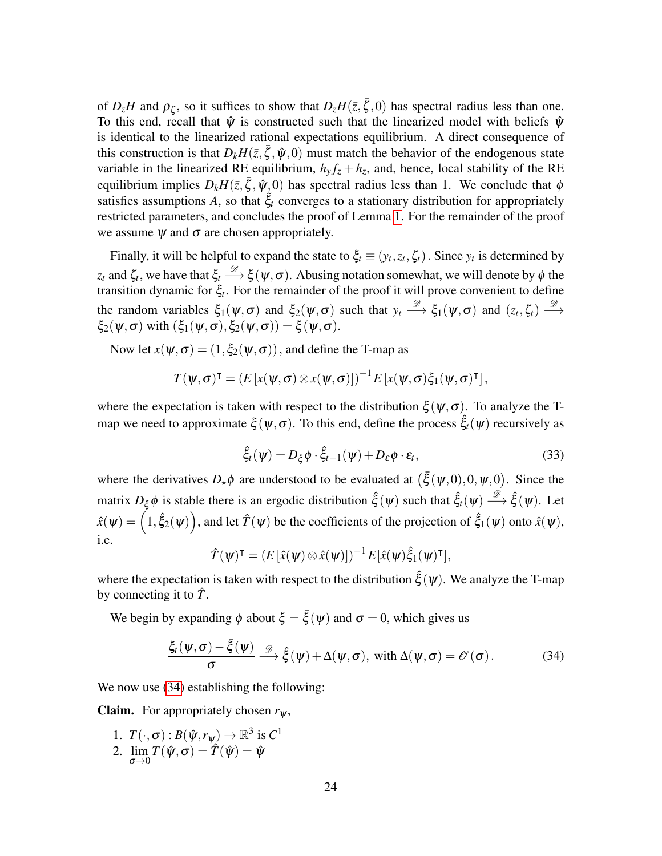of  $D_z H$  and  $\rho_{\zeta}$ , so it suffices to show that  $D_z H(\bar{z}, \bar{\zeta}, 0)$  has spectral radius less than one. To this end, recall that  $\hat{\psi}$  is constructed such that the linearized model with beliefs  $\hat{\psi}$ is identical to the linearized rational expectations equilibrium. A direct consequence of this construction is that  $D_k H(\bar{z}, \bar{\zeta}, \hat{\psi}, 0)$  must match the behavior of the endogenous state variable in the linearized RE equilibrium,  $h_y f_z + h_z$ , and, hence, local stability of the RE equilibrium implies  $D_k H(\bar{z}, \bar{\zeta}, \hat{\psi}_0)$  has spectral radius less than 1. We conclude that  $\phi$ satisfies assumptions  $A$ , so that  $\xi_t$  converges to a stationary distribution for appropriately restricted parameters, and concludes the proof of Lemma [1.](#page-7-0) For the remainder of the proof we assume  $\psi$  and  $\sigma$  are chosen appropriately.

Finally, it will be helpful to expand the state to  $\xi_t \equiv (y_t, z_t, \zeta_t)$ . Since  $y_t$  is determined by  $z_t$  and  $\zeta_t$ , we have that  $\xi_t \stackrel{\mathscr{D}}{\longrightarrow} \xi(\psi,\sigma)$ . Abusing notation somewhat, we will denote by  $\phi$  the transition dynamic for ξ*<sup>t</sup>* . For the remainder of the proof it will prove convenient to define the random variables  $\xi_1(\psi,\sigma)$  and  $\xi_2(\psi,\sigma)$  such that  $y_t \stackrel{\mathscr{D}}{\longrightarrow} \xi_1(\psi,\sigma)$  and  $(z_t,\zeta_t) \stackrel{\mathscr{D}}{\longrightarrow}$  $\xi_2(\psi,\sigma)$  with  $(\xi_1(\psi,\sigma),\xi_2(\psi,\sigma)) = \xi(\psi,\sigma)$ .

Now let  $x(\psi, \sigma) = (1, \xi_2(\psi, \sigma))$ , and define the T-map as

$$
T(\boldsymbol{\psi},\boldsymbol{\sigma})^{\intercal} = (E\left[x(\boldsymbol{\psi},\boldsymbol{\sigma})\otimes x(\boldsymbol{\psi},\boldsymbol{\sigma})\right])^{-1}E\left[x(\boldsymbol{\psi},\boldsymbol{\sigma})\xi_1(\boldsymbol{\psi},\boldsymbol{\sigma})^{\intercal}\right],
$$

where the expectation is taken with respect to the distribution  $\xi(\psi,\sigma)$ . To analyze the Tmap we need to approximate  $\xi(\psi,\sigma)$ . To this end, define the process  $\hat{\xi}_t(\psi)$  recursively as

$$
\hat{\xi}_t(\psi) = D_{\xi} \phi \cdot \hat{\xi}_{t-1}(\psi) + D_{\varepsilon} \phi \cdot \varepsilon_t, \qquad (33)
$$

where the derivatives  $D_{\star}\phi$  are understood to be evaluated at  $(\bar{\xi}(\psi,0),0,\psi,0)$ . Since the matrix  $D_{\xi} \phi$  is stable there is an ergodic distribution  $\hat{\xi}(\psi)$  such that  $\hat{\xi}_t(\psi) \stackrel{\mathscr{D}}{\longrightarrow} \hat{\xi}(\psi)$ . Let  $\hat{x}(\psi) = \left(1, \hat{\xi}_2(\psi)\right)$ , and let  $\hat{T}(\psi)$  be the coefficients of the projection of  $\hat{\xi}_1(\psi)$  onto  $\hat{x}(\psi)$ , i.e.

$$
\hat{T}(\psi)^{\mathsf{T}} = (E[\hat{x}(\psi) \otimes \hat{x}(\psi)])^{-1} E[\hat{x}(\psi)\hat{\xi}_1(\psi)^{\mathsf{T}}],
$$

<span id="page-23-0"></span>where the expectation is taken with respect to the distribution  $\hat{\xi}(\psi)$ . We analyze the T-map by connecting it to  $\hat{T}$ .

We begin by expanding  $\phi$  about  $\xi = \bar{\xi}(\psi)$  and  $\sigma = 0$ , which gives us

$$
\frac{\xi_t(\psi,\sigma)-\bar{\xi}(\psi)}{\sigma} \stackrel{\mathscr{D}}{\longrightarrow} \hat{\xi}(\psi)+\Delta(\psi,\sigma), \text{ with } \Delta(\psi,\sigma)=\mathscr{O}(\sigma). \tag{34}
$$

We now use  $(34)$  establishing the following:

Claim. For appropriately chosen *r*ψ,

1.  $T(\cdot, \sigma) : B(\hat{\psi}, r_{\psi}) \to \mathbb{R}^3$  is  $C^1$ 2.  $\lim_{\sigma \to 0} T(\hat{\psi}, \sigma) = \hat{T}(\hat{\psi}) = \hat{\psi}$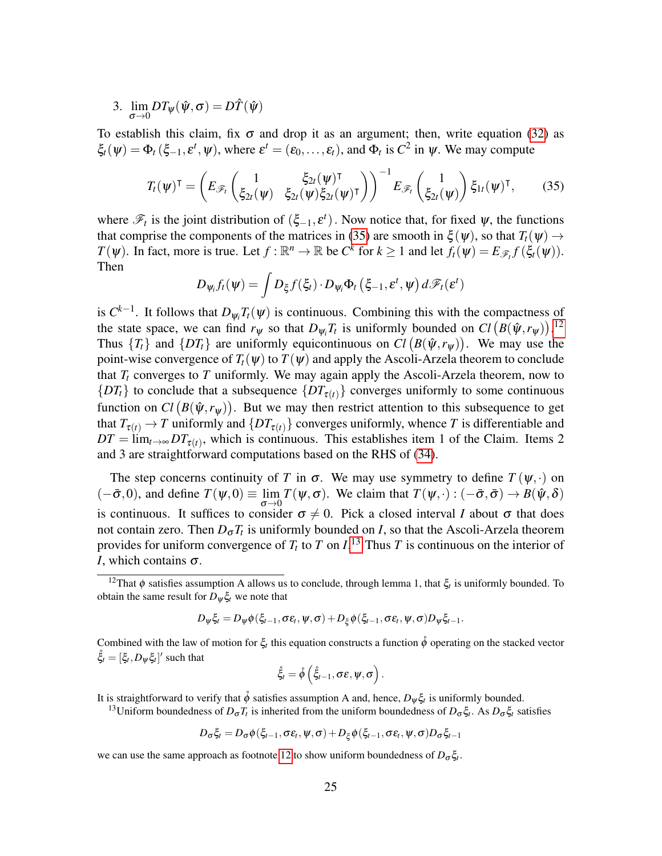3.  $\lim_{\sigma \to 0} DT_{\psi}(\hat{\psi}, \sigma) = D\hat{T}(\hat{\psi})$ 

To establish this claim, fix  $\sigma$  and drop it as an argument; then, write equation [\(32\)](#page-22-0) as  $\xi_t(\psi) = \Phi_t(\xi_{-1}, \varepsilon^t, \psi)$ , where  $\varepsilon^t = (\varepsilon_0, \dots, \varepsilon_t)$ , and  $\Phi_t$  is  $C^2$  in  $\psi$ . We may compute

$$
T_t(\boldsymbol{\psi})^{\mathsf{T}} = \left( E_{\mathscr{F}_t} \begin{pmatrix} 1 & \xi_{2t}(\boldsymbol{\psi})^{\mathsf{T}} \\ \xi_{2t}(\boldsymbol{\psi}) & \xi_{2t}(\boldsymbol{\psi}) \xi_{2t}(\boldsymbol{\psi})^{\mathsf{T}} \end{pmatrix} \right)^{-1} E_{\mathscr{F}_t} \begin{pmatrix} 1 \\ \xi_{2t}(\boldsymbol{\psi}) \end{pmatrix} \xi_{1t}(\boldsymbol{\psi})^{\mathsf{T}}, \qquad (35)
$$

where  $\mathscr{F}_t$  is the joint distribution of  $(\xi_{-1}, \varepsilon^t)$ . Now notice that, for fixed  $\psi$ , the functions that comprise the components of the matrices in [\(35\)](#page-24-0) are smooth in  $\xi(\psi)$ , so that  $T_t(\psi) \rightarrow$ *T*( $\psi$ ). In fact, more is true. Let  $f : \mathbb{R}^n \to \mathbb{R}$  be  $C^k$  for  $k \ge 1$  and let  $f_t(\psi) = E_{\mathscr{F}_t} f(\xi_t(\psi))$ . Then

<span id="page-24-0"></span>
$$
D_{\psi_i} f_t(\psi) = \int D_{\xi} f(\xi_t) \cdot D_{\psi_i} \Phi_t \left( \xi_{-1}, \varepsilon^t, \psi \right) d\mathscr{F}_t(\varepsilon^t)
$$

is  $C^{k-1}$ . It follows that  $D_{\psi_i}T_t(\psi)$  is continuous. Combining this with the compactness of the state space, we can find  $r_{\psi}$  so that  $D_{\psi_i}T_t$  is uniformly bounded on  $Cl (B(\hat{\psi}, r_{\psi}))$ .<sup>[12](#page-24-1)</sup> Thus  $\{T_t\}$  and  $\{DT_t\}$  are uniformly equicontinuous on  $Cl(B(\hat{\psi}, r_{\psi}))$ . We may use the point-wise convergence of  $T_t(\psi)$  to  $T(\psi)$  and apply the Ascoli-Arzela theorem to conclude that  $T_t$  converges to  $T$  uniformly. We may again apply the Ascoli-Arzela theorem, now to  ${DT_t}$  to conclude that a subsequence  ${DT_{\tau(t)}}$  converges uniformly to some continuous function on  $Cl (B(\hat{\psi}, r_{\psi}))$ . But we may then restrict attention to this subsequence to get that  $T_{\tau(t)} \to T$  uniformly and  $\{DT_{\tau(t)}\}$  converges uniformly, whence *T* is differentiable and  $DT = \lim_{t \to \infty} DT_{\tau(t)}$ , which is continuous. This establishes item 1 of the Claim. Items 2 and 3 are straightforward computations based on the RHS of [\(34\)](#page-23-0).

The step concerns continuity of *T* in  $\sigma$ . We may use symmetry to define  $T(\psi, \cdot)$  on  $(-\bar{\sigma},0)$ , and define  $T(\psi,0) \equiv \lim_{\Delta} T(\psi,\sigma)$ . We claim that  $T(\psi,\cdot): (-\bar{\sigma},\bar{\sigma}) \to B(\hat{\psi},\delta)$  $\sigma \rightarrow 0$ is continuous. It suffices to consider  $\sigma \neq 0$ . Pick a closed interval *I* about  $\sigma$  that does not contain zero. Then  $D_{\sigma}T_t$  is uniformly bounded on *I*, so that the Ascoli-Arzela theorem provides for uniform convergence of  $T_t$  to  $T$  on  $I$ .<sup>[13](#page-24-2)</sup> Thus  $T$  is continuous on the interior of *I*, which contains σ.

$$
D_{\psi}\xi_t = D_{\psi}\phi(\xi_{t-1},\sigma\varepsilon_t,\psi,\sigma) + D_{\xi}\phi(\xi_{t-1},\sigma\varepsilon_t,\psi,\sigma)D_{\psi}\xi_{t-1}.
$$

Combined with the law of motion for  $\xi_t$  this equation constructs a function  $\phi$  operating on the stacked vector  $\mathring{\xi}_t = [\xi_t, D_\psi \xi_t]'$  such that

$$
\mathring{\xi}_t = \mathring{\phi}\left(\mathring{\xi}_{t-1}, \sigma \varepsilon, \psi, \sigma\right).
$$

It is straightforward to verify that  $\phi$  satisfies assumption A and, hence,  $D_{\psi}\xi_t$  is uniformly bounded.

<span id="page-24-2"></span><sup>13</sup>Uniform boundedness of  $D_σT_t$  is inherited from the uniform boundedness of  $D_σ\xi_t$ . As  $D_σ\xi_t$  satisfies

$$
D_{\sigma}\xi_t = D_{\sigma}\phi(\xi_{t-1}, \sigma \varepsilon_t, \psi, \sigma) + D_{\xi}\phi(\xi_{t-1}, \sigma \varepsilon_t, \psi, \sigma)D_{\sigma}\xi_{t-1}
$$

we can use the same approach as footnote [12](#page-24-1) to show uniform boundedness of  $D_{\sigma} \xi_t$ .

<span id="page-24-1"></span><sup>&</sup>lt;sup>12</sup>That  $\phi$  satisfies assumption A allows us to conclude, through lemma 1, that  $\xi_t$  is uniformly bounded. To obtain the same result for  $D_{\psi} \xi_t$  we note that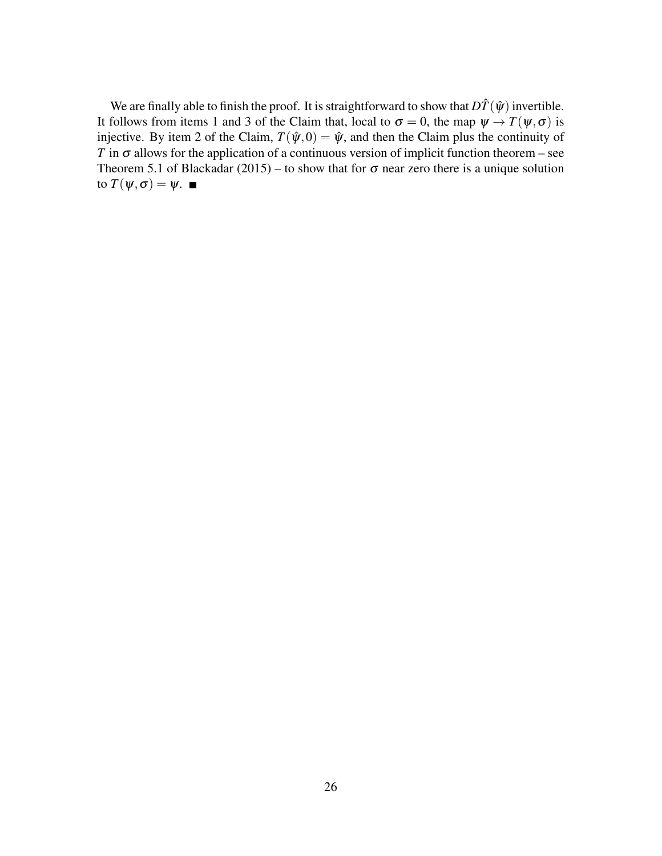We are finally able to finish the proof. It is straightforward to show that  $D\hat{T}(\hat{\psi})$  invertible. It follows from items 1 and 3 of the Claim that, local to  $\sigma = 0$ , the map  $\psi \to T(\psi, \sigma)$  is injective. By item 2 of the Claim,  $T(\hat{\psi}, 0) = \hat{\psi}$ , and then the Claim plus the continuity of *T* in  $\sigma$  allows for the application of a continuous version of implicit function theorem – see Theorem 5.1 of Blackadar (2015) – to show that for  $\sigma$  near zero there is a unique solution to  $T(\psi,\sigma) = \psi$ .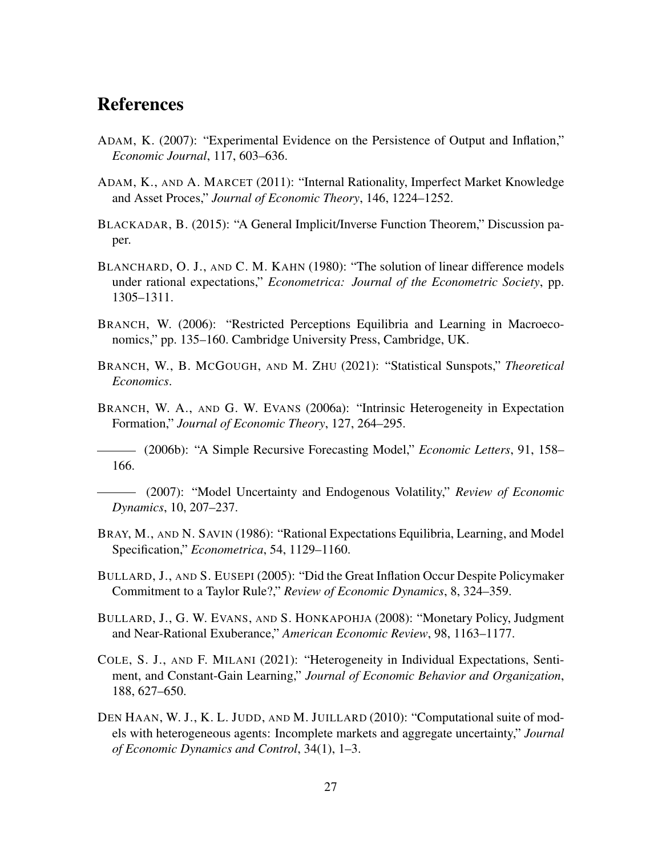# References

- ADAM, K. (2007): "Experimental Evidence on the Persistence of Output and Inflation," *Economic Journal*, 117, 603–636.
- ADAM, K., AND A. MARCET (2011): "Internal Rationality, Imperfect Market Knowledge and Asset Proces," *Journal of Economic Theory*, 146, 1224–1252.
- BLACKADAR, B. (2015): "A General Implicit/Inverse Function Theorem," Discussion paper.
- BLANCHARD, O. J., AND C. M. KAHN (1980): "The solution of linear difference models under rational expectations," *Econometrica: Journal of the Econometric Society*, pp. 1305–1311.
- BRANCH, W. (2006): "Restricted Perceptions Equilibria and Learning in Macroeconomics," pp. 135–160. Cambridge University Press, Cambridge, UK.
- BRANCH, W., B. MCGOUGH, AND M. ZHU (2021): "Statistical Sunspots," *Theoretical Economics*.
- BRANCH, W. A., AND G. W. EVANS (2006a): "Intrinsic Heterogeneity in Expectation Formation," *Journal of Economic Theory*, 127, 264–295.

(2006b): "A Simple Recursive Forecasting Model," *Economic Letters*, 91, 158– 166.

- (2007): "Model Uncertainty and Endogenous Volatility," *Review of Economic Dynamics*, 10, 207–237.
- BRAY, M., AND N. SAVIN (1986): "Rational Expectations Equilibria, Learning, and Model Specification," *Econometrica*, 54, 1129–1160.
- BULLARD, J., AND S. EUSEPI (2005): "Did the Great Inflation Occur Despite Policymaker Commitment to a Taylor Rule?," *Review of Economic Dynamics*, 8, 324–359.
- BULLARD, J., G. W. EVANS, AND S. HONKAPOHJA (2008): "Monetary Policy, Judgment and Near-Rational Exuberance," *American Economic Review*, 98, 1163–1177.
- COLE, S. J., AND F. MILANI (2021): "Heterogeneity in Individual Expectations, Sentiment, and Constant-Gain Learning," *Journal of Economic Behavior and Organization*, 188, 627–650.
- DEN HAAN, W. J., K. L. JUDD, AND M. JUILLARD (2010): "Computational suite of models with heterogeneous agents: Incomplete markets and aggregate uncertainty," *Journal of Economic Dynamics and Control*, 34(1), 1–3.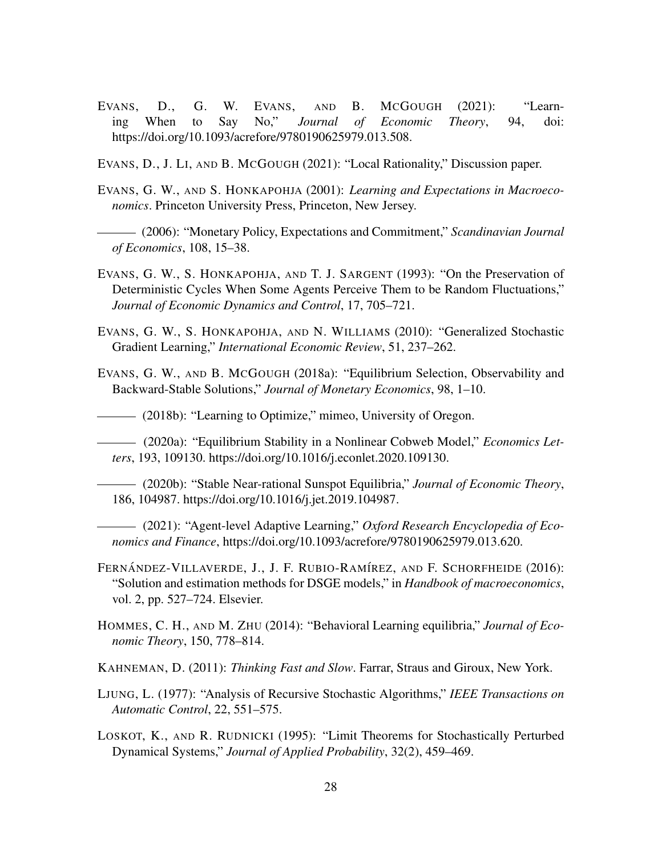- EVANS, D., G. W. EVANS, AND B. MCGOUGH (2021): "Learning When to Say No," *Journal of Economic Theory*, 94, doi: https://doi.org/10.1093/acrefore/9780190625979.013.508.
- EVANS, D., J. LI, AND B. MCGOUGH (2021): "Local Rationality," Discussion paper.
- EVANS, G. W., AND S. HONKAPOHJA (2001): *Learning and Expectations in Macroeconomics*. Princeton University Press, Princeton, New Jersey.
- (2006): "Monetary Policy, Expectations and Commitment," *Scandinavian Journal of Economics*, 108, 15–38.
- EVANS, G. W., S. HONKAPOHJA, AND T. J. SARGENT (1993): "On the Preservation of Deterministic Cycles When Some Agents Perceive Them to be Random Fluctuations," *Journal of Economic Dynamics and Control*, 17, 705–721.
- EVANS, G. W., S. HONKAPOHJA, AND N. WILLIAMS (2010): "Generalized Stochastic Gradient Learning," *International Economic Review*, 51, 237–262.
- EVANS, G. W., AND B. MCGOUGH (2018a): "Equilibrium Selection, Observability and Backward-Stable Solutions," *Journal of Monetary Economics*, 98, 1–10.
- (2018b): "Learning to Optimize," mimeo, University of Oregon.
- (2020a): "Equilibrium Stability in a Nonlinear Cobweb Model," *Economics Letters*, 193, 109130. https://doi.org/10.1016/j.econlet.2020.109130.
- (2020b): "Stable Near-rational Sunspot Equilibria," *Journal of Economic Theory*, 186, 104987. https://doi.org/10.1016/j.jet.2019.104987.
- (2021): "Agent-level Adaptive Learning," *Oxford Research Encyclopedia of Economics and Finance*, https://doi.org/10.1093/acrefore/9780190625979.013.620.
- FERNÁNDEZ-VILLAVERDE, J., J. F. RUBIO-RAMÍREZ, AND F. SCHORFHEIDE (2016): "Solution and estimation methods for DSGE models," in *Handbook of macroeconomics*, vol. 2, pp. 527–724. Elsevier.
- HOMMES, C. H., AND M. ZHU (2014): "Behavioral Learning equilibria," *Journal of Economic Theory*, 150, 778–814.
- KAHNEMAN, D. (2011): *Thinking Fast and Slow*. Farrar, Straus and Giroux, New York.
- LJUNG, L. (1977): "Analysis of Recursive Stochastic Algorithms," *IEEE Transactions on Automatic Control*, 22, 551–575.
- LOSKOT, K., AND R. RUDNICKI (1995): "Limit Theorems for Stochastically Perturbed Dynamical Systems," *Journal of Applied Probability*, 32(2), 459–469.